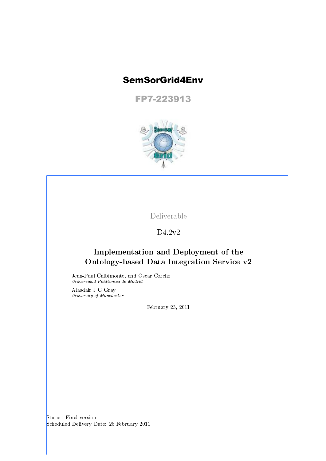# SemSorGrid4Env

FP7-223913



Deliverable

D4.2v2

## Implementation and Deployment of the Ontology-based Data Integration Service v2

Jean-Paul Calbimonte, and Oscar Corcho Universidad Politécnica de Madrid

Alasdair J G Gray University of Manchester

February 23, 2011

Status: Final version Scheduled Delivery Date: 28 February 2011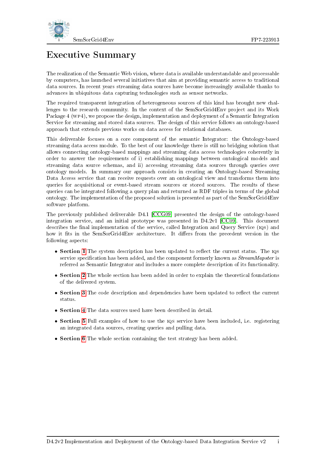

# Executive Summary

The realization of the Semantic Web vision, where data is available understandable and processable by computers, has launched several initiatives that aim at providing semantic access to traditional data sources. In recent years streaming data sources have become increasingly available thanks to advances in ubiquitous data capturing technologies such as sensor networks.

The required transparent integration of heterogeneous sources of this kind has brought new challenges to the research community. In the context of the SemSorGrid4Env project and its Work Package 4 (wp4), we propose the design, implementation and deployment of a Semantic Integration Service for streaming and stored data sources. The design of this service follows an ontology-based approach that extends previous works on data access for relational databases.

This deliverable focuses on a core component of the semantic Integrator: the Ontology-based streaming data access module. To the best of our knowledge there is still no bridging solution that allows connecting ontology-based mappings and streaming data access technologies coherently in order to answer the requirements of i) establishing mappings between ontological models and streaming data source schemas, and ii) accessing streaming data sources through queries over ontology models. In summary our approach consists in creating an Ontology-based Streaming Data Access service that can receive requests over an ontological view and transforms them into queries for acquisitional or event-based stream sources or stored sources. The results of these queries can be integrated following a query plan and returned as RDF triples in terms of the global ontology. The implementation of the proposed solution is presented as part of the SemSorGrid4Env software platform.

The previously published deliverable D4.1 [\[CCG09\]](#page-39-0) presented the design of the ontology-based integration service, and an initial prototype was presented in D4.2v1 [\[CC09\]](#page-39-1). This document describes the final implementation of the service, called Integration and Query Service (10s) and how it fits in the SemSorGrid4Env architecture. It differs from the precedent version in the following aspects:

- Section [1](#page-9-0) The system description has been updated to reflect the current status. The  $IQS$ service specification has been added, and the component formerly known as *StreamMapster* is referred as Semantic Integrator and includes a more complete description of its functionality.
- Section [2](#page-15-0) The whole section has been added in order to explain the theoretical foundations of the delivered system.
- Section [3](#page-23-0) The code description and dependencies have been updated to reflect the current status.
- Section [4](#page-27-0) The data sources used have been described in detail.
- Section [5](#page-31-0) Full examples of how to use the IQS service have been included, i.e. registering an integrated data sources, creating queries and pulling data.
- Section [6](#page-37-0) The whole section containing the test strategy has been added.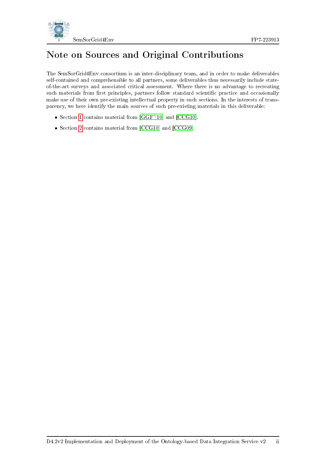

# Note on Sources and Original Contributions

The SemSorGrid4Env consortium is an inter-disciplinary team, and in order to make deliverables self-contained and comprehensible to all partners, some deliverables thus necessarily include stateof-the-art surveys and associated critical assessment. Where there is no advantage to recreating such materials from first principles, partners follow standard scientific practice and occasionally make use of their own pre-existing intellectual property in such sections. In the interests of transparency, we here identify the main sources of such pre-existing materials in this deliverable:

- Section [1](#page-9-0) contains material from [\[GGF](#page-39-2)<sup>+</sup>10] and [\[CCG10\]](#page-39-3).
- Section [2](#page-15-0) contains material from [\[CCG10\]](#page-39-3) and [\[CCG09\]](#page-39-0).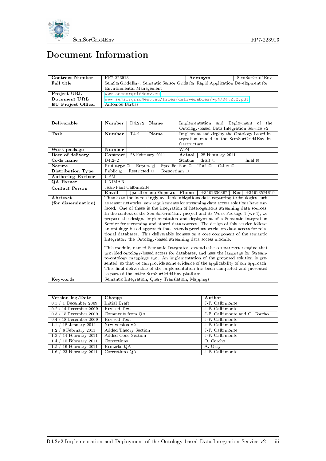

# Document Information

| Contract Number    | FP7-223913                                                                  | Acronym | SemSorGrid4Env |  |  |  |
|--------------------|-----------------------------------------------------------------------------|---------|----------------|--|--|--|
| Full title         | SemSorGrid4Env: Semantic Sensor Grids for Rapid Application Development for |         |                |  |  |  |
|                    | Environmental Management                                                    |         |                |  |  |  |
| Project URL        | www.semsorgrid4env.eu                                                       |         |                |  |  |  |
| Document URL       | www.semsorgrid4env.eu/files/deliverables/wp4/D4.2v2.pdf                     |         |                |  |  |  |
| EU Project Officer | Antonios Barbas                                                             |         |                |  |  |  |

| Deliverable              | Number                                                                             | D4.2v2            | Name                                           |                                                                                  | Implementation and Deployment of the                                               |  |  |  |
|--------------------------|------------------------------------------------------------------------------------|-------------------|------------------------------------------------|----------------------------------------------------------------------------------|------------------------------------------------------------------------------------|--|--|--|
|                          |                                                                                    |                   |                                                | Ontology-based Data Integration Service v2                                       |                                                                                    |  |  |  |
| Task                     | Number                                                                             | T4.2              | Name                                           | Implement and deploy the Ontology-based in-                                      |                                                                                    |  |  |  |
|                          |                                                                                    |                   |                                                |                                                                                  | tegration model in the SemSorGrid4Env in-                                          |  |  |  |
|                          |                                                                                    |                   |                                                | frastructure                                                                     |                                                                                    |  |  |  |
| Work package             | Number                                                                             |                   |                                                | WP4                                                                              |                                                                                    |  |  |  |
| Date of delivery         | Contract                                                                           |                   | 28 February 2011                               | Actual                                                                           | 28 February 2011                                                                   |  |  |  |
| Code name                | D4.2v2                                                                             |                   |                                                | <b>Status</b>                                                                    | draft $\square$<br>final Ø                                                         |  |  |  |
| Nature                   | Prototype $\square$                                                                |                   | Report Ø                                       | Specification $\Box$                                                             | Tool $\Box$<br>Other $\Box$                                                        |  |  |  |
| Distribution Type        | Public Ø                                                                           | Restricted $\Box$ | Consortium $\square$                           |                                                                                  |                                                                                    |  |  |  |
| <b>Authoring Partner</b> | UPM                                                                                |                   |                                                |                                                                                  |                                                                                    |  |  |  |
| QA Parner                | <b>UNIMAN</b>                                                                      |                   |                                                |                                                                                  |                                                                                    |  |  |  |
| <b>Contact Person</b>    | Jean-Paul Calbimonte                                                               |                   |                                                |                                                                                  |                                                                                    |  |  |  |
|                          | Email                                                                              |                   |                                                |                                                                                  | jp.calbimonte@upm.es Phone $+34913363670$ Fax $+34913524819$                       |  |  |  |
| Abstract                 |                                                                                    |                   |                                                | Thanks to the increasingly available ubiquitous data capturing technologies such |                                                                                    |  |  |  |
| (for dissemination)      |                                                                                    |                   |                                                |                                                                                  | as sensor networks, new requirements for streaming data access solutions have sur- |  |  |  |
|                          |                                                                                    |                   |                                                | faced. One of these is the integration of heterogeneous streaming data sources.  |                                                                                    |  |  |  |
|                          |                                                                                    |                   |                                                |                                                                                  | In the context of the SemSorGrid4Env project and its Work Package 4 (wp4), we      |  |  |  |
|                          |                                                                                    |                   |                                                |                                                                                  | propose the design, implementation and deployment of a Semantic Integration        |  |  |  |
|                          |                                                                                    |                   |                                                |                                                                                  | Service for streaming and stored data sources. The design of this service follows  |  |  |  |
|                          |                                                                                    |                   |                                                |                                                                                  | an ontology-based approach that extends previous works on data access for rela-    |  |  |  |
|                          |                                                                                    |                   |                                                |                                                                                  | tional databases. This deliverable focuses on a core component of the semantic     |  |  |  |
|                          |                                                                                    |                   |                                                |                                                                                  | Integrator: the Ontology-based streaming data access module.                       |  |  |  |
|                          |                                                                                    |                   |                                                |                                                                                  |                                                                                    |  |  |  |
|                          |                                                                                    |                   |                                                |                                                                                  | This module, named Semantic Integrator, extends the ODEMAPSTER engine that         |  |  |  |
|                          |                                                                                    |                   |                                                |                                                                                  | provided ontology-based access for databases, and uses the language for Stream-    |  |  |  |
|                          |                                                                                    |                   |                                                | to-ontology mappings $s_2$ o. An implementation of the proposed solution is pre- |                                                                                    |  |  |  |
|                          | sented, so that we can provide some evidence of the applicability of our approach. |                   |                                                |                                                                                  |                                                                                    |  |  |  |
|                          | This final deliverable of the implementation has been completed and presented      |                   |                                                |                                                                                  |                                                                                    |  |  |  |
|                          |                                                                                    |                   | as part of the entire SemSorGrid4Env platform. |                                                                                  |                                                                                    |  |  |  |
| Keywords                 | Semantic Integration, Query Translation, Mappings                                  |                   |                                                |                                                                                  |                                                                                    |  |  |  |

| Version log/Date                                | Change               | Author                        |
|-------------------------------------------------|----------------------|-------------------------------|
| 1 December 2009<br>0.1                          | Initial Draft        | J-P. Calbimonte               |
| $^\prime$ 14 December 2009 $^\prime$<br>$0.2$ / | Revised Text         | J-P. Calbimonte               |
| $0.3 / 15$ December 2009                        | Comments from QA     | J-P. Calbimonte and O. Corcho |
| 18 December 2009<br>0.4                         | Revised Text         | J-P. Calbimonte               |
| 18 January 2011<br>1.1                          | New version v2       | J P. Calbimonte               |
| 1.2<br>8 February 2011                          | Added Theory Section | J-P. Calbimonte               |
| 14 February 2011<br>1.3                         | Added Code Section   | J-P. Calbimonte               |
| 15 February 2011<br>1.4                         | Corrections          | O. Corcho                     |
| 1.5<br>16 February 2011                         | Remarks QA           | A. Gray                       |
| 23 February 2011<br>1.6                         | Corrections QA       | J-P. Calbimonte               |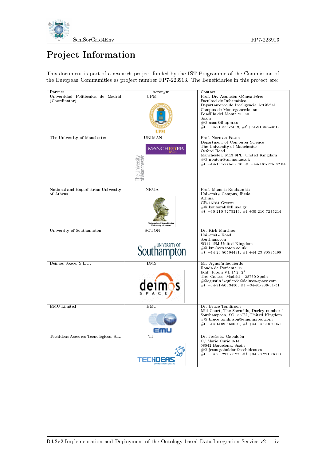

# Project Information

This document is part of a research project funded by the IST Programme of the Commission of the European Communities as project number FP7-223913. The Beneficiaries in this project are:

| Partner                                            | Acronym                                                   | $\overline{\text{Context}}$                                                    |
|----------------------------------------------------|-----------------------------------------------------------|--------------------------------------------------------------------------------|
| Universidad Politécnica de Madrid<br>(Coordinator) | UPM                                                       | Prof. Dr. Asunción Gómez-Pérez<br>Facultad de Informática                      |
|                                                    |                                                           | Departamento de Inteligencia Artificial                                        |
|                                                    |                                                           | Campus de Montegancedo, sn<br>Boadilla del Monte 28660                         |
|                                                    |                                                           | Spain                                                                          |
|                                                    |                                                           | $\#@$ asun@fi.upm.es                                                           |
|                                                    |                                                           | #t +34-91 336-7439, #f +34-91 352-4819                                         |
| The University of Manchester                       | <b>UNIMAN</b>                                             | Prof. Norman Paton                                                             |
|                                                    |                                                           | Department of Computer Science<br>The University of Manchester                 |
|                                                    | <b>MANCHESTER</b>                                         | Oxford Road                                                                    |
|                                                    |                                                           | Manchester, M13 9PL, United Kingdom<br>#@ npaton@cs.man.ac.uk                  |
|                                                    |                                                           | #t +44-161-275-69 10, # +44-161-275 62 04                                      |
|                                                    |                                                           |                                                                                |
|                                                    |                                                           |                                                                                |
|                                                    |                                                           |                                                                                |
| National and Kapodistrian University               | <b>NKUA</b>                                               | Prof. Manolis Koubarakis                                                       |
| of Athens                                          |                                                           | University Campus, Ilissia<br>Athina                                           |
|                                                    |                                                           | GR-15784 Greece                                                                |
|                                                    |                                                           | #@ koubarak@di.uoa.gr<br>#t +30 210 7275213, #f +30 210 7275214                |
|                                                    |                                                           |                                                                                |
|                                                    | <b>National and Kapodistrian<br/>University of Athens</b> |                                                                                |
| University of Southampton                          | SOTON                                                     | Dr. Kirk Martinez                                                              |
|                                                    |                                                           | University Road<br>Southampton                                                 |
|                                                    | JNIVERSITY O                                              | SO17 1BJ United Kingdom                                                        |
|                                                    |                                                           | #@ km@ecs.soton.ac.uk<br>#t +44 23 80594491, #f +44 23 80595499                |
|                                                    |                                                           |                                                                                |
| Deimos Space, S.L.U.                               | $_{\rm{DNS}}$                                             | Mr. Agustín Izquierdo                                                          |
|                                                    |                                                           | Ronda de Poniente 19,<br>Edif. Fiteni VI, P 2, 2°                              |
|                                                    |                                                           | Tres Cantos, Madrid - 28760 Spain                                              |
|                                                    |                                                           | #@agustin.izquierdo@deimos-space.com<br>#t +34-91-8063450, #f +34-91-806-34-51 |
|                                                    |                                                           |                                                                                |
|                                                    |                                                           |                                                                                |
| <b>EMU</b> Limited                                 | EMU                                                       | Dr. Bruce Tomlinson                                                            |
|                                                    |                                                           | Mill Court, The Sawmills, Durley number 1                                      |
|                                                    |                                                           | Southampton, SO32 2EJ, United Kingdom<br>#@ bruce.tomlinson@emulimited.com     |
|                                                    |                                                           | #t +44 1489 860050, #f +44 1489 860051                                         |
|                                                    |                                                           |                                                                                |
| TechIdeas Asesores Tecnológicos, S.L.              | ТI                                                        | Dr. Jesús E. Gabaldón<br>C/ Marie Curie 8-14                                   |
|                                                    |                                                           | 08042 Barcelona, Spain                                                         |
|                                                    |                                                           | #@ jesus.gabaldon@techideas.es                                                 |
|                                                    |                                                           | #t +34.93.291.77.27, #f +34.93.291.76.00                                       |
|                                                    |                                                           |                                                                                |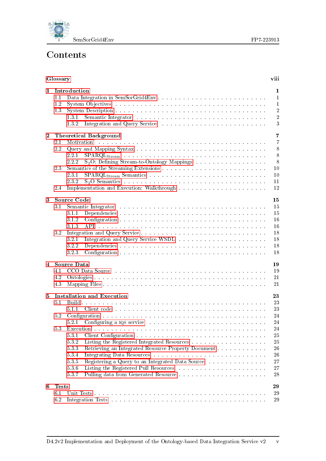

# Contents

|                | Glossary     |                                                                                                                                                                                                                                | viii           |
|----------------|--------------|--------------------------------------------------------------------------------------------------------------------------------------------------------------------------------------------------------------------------------|----------------|
| $\mathbf{1}$   |              | Introduction                                                                                                                                                                                                                   | 1              |
|                | 1.1          |                                                                                                                                                                                                                                | $\mathbf{1}$   |
|                | 1.2          |                                                                                                                                                                                                                                | $\mathbf{1}$   |
|                | 1.3          |                                                                                                                                                                                                                                | $\overline{2}$ |
|                |              | Semantic Integrator (Alberta Alberta Alberta Alberta Alberta Alberta Alberta Alberta Alberta Alberta Alberta A<br>1.3.1                                                                                                        | $\overline{2}$ |
|                |              | 1.3.2                                                                                                                                                                                                                          | 3              |
|                |              |                                                                                                                                                                                                                                |                |
| $\overline{2}$ |              | <b>Theoretical Background</b>                                                                                                                                                                                                  | $\overline{7}$ |
|                | 2.1          | .<br>The model is a complete that the model is a complete that the model is a complete that the model is a complete<br>Motivation                                                                                              | $\overline{7}$ |
|                | 2.2          |                                                                                                                                                                                                                                | 8              |
|                |              | 2.2.1                                                                                                                                                                                                                          | 8              |
|                |              | 2.2.2<br>$S_2O$ : Defining Stream-to-Ontology Mappings                                                                                                                                                                         | 8              |
|                | 2.3          |                                                                                                                                                                                                                                | 10             |
|                |              | 2.3.1                                                                                                                                                                                                                          | 10             |
|                |              | 2.3.2                                                                                                                                                                                                                          | 11             |
|                | 2.4          |                                                                                                                                                                                                                                | 12             |
|                |              |                                                                                                                                                                                                                                |                |
| 3              |              | <b>Source Code</b>                                                                                                                                                                                                             | 15             |
|                | 3.1          | Semantic Integrator resolution of the contract of the contract of the contract of the contract of the contract of the contract of the contract of the contract of the contract of the contract of the contract of the contract | 15             |
|                |              | 3.1.1                                                                                                                                                                                                                          | 15             |
|                |              | 3.1.2                                                                                                                                                                                                                          | 16             |
|                |              | 3.1.3                                                                                                                                                                                                                          | 16             |
|                | 3.2          |                                                                                                                                                                                                                                | 18             |
|                |              | 3.2.1                                                                                                                                                                                                                          | 18             |
|                |              | 3.2.2                                                                                                                                                                                                                          | 18             |
|                |              | 3.2.3                                                                                                                                                                                                                          | 18             |
|                |              |                                                                                                                                                                                                                                |                |
| 4              |              | <b>Source Data</b>                                                                                                                                                                                                             | 19             |
|                | 4.1          | CCO Data Source response to the contract of the contract of the contract of the contract of the contract of the contract of the contract of the contract of the contract of the contract of the contract of the contract of th | 19             |
|                | 4.2          |                                                                                                                                                                                                                                | 21             |
|                | 4.3          |                                                                                                                                                                                                                                | 21             |
|                |              |                                                                                                                                                                                                                                |                |
| $\mathbf 5$    |              | <b>Installation and Execution</b>                                                                                                                                                                                              | 23             |
|                | 5.1          |                                                                                                                                                                                                                                | 23             |
|                |              | 5.1.1                                                                                                                                                                                                                          | 23             |
|                | 5.2          |                                                                                                                                                                                                                                | 24             |
|                |              |                                                                                                                                                                                                                                | $\sqrt{24}$    |
|                | 53           |                                                                                                                                                                                                                                | 24             |
|                |              | 5.3.1                                                                                                                                                                                                                          | $25\,$         |
|                |              | 5.3.2                                                                                                                                                                                                                          | $25\,$         |
|                |              | 533<br>Retrieving an Integrated Resource Property Document                                                                                                                                                                     | 26             |
|                |              | Integrating Data Resources (Fig. , Fig. , Fig. , Fig. , Fig. , Fig. , Fig. , Fig. , Fig.<br>534                                                                                                                                | 26             |
|                |              | Registering a Query to an Integrated Data Source<br>535                                                                                                                                                                        | $27\,$         |
|                |              | 5.3.6                                                                                                                                                                                                                          | $27\,$         |
|                |              | 5.37                                                                                                                                                                                                                           | 28             |
|                |              |                                                                                                                                                                                                                                |                |
| 6              | <b>Tests</b> |                                                                                                                                                                                                                                | 29             |
|                | 6.1          |                                                                                                                                                                                                                                | 29             |
|                | 6.2          |                                                                                                                                                                                                                                | 29             |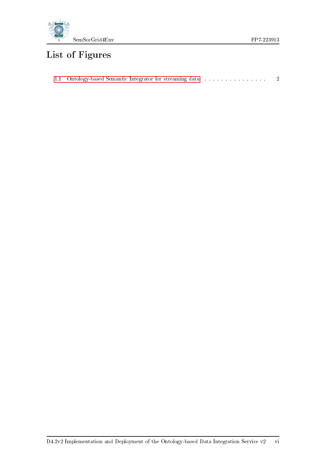

# List of Figures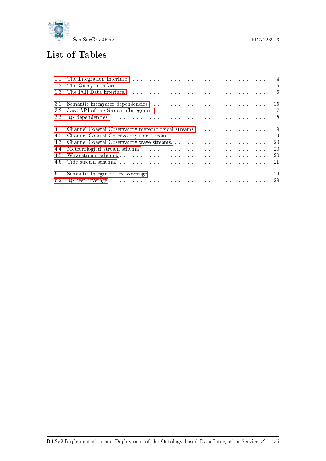

# List of Tables

| 1.1  | $\overline{4}$                                                                                                                                                                                                                      |
|------|-------------------------------------------------------------------------------------------------------------------------------------------------------------------------------------------------------------------------------------|
| 1.2  | - 5                                                                                                                                                                                                                                 |
| 1.3  | $-6$                                                                                                                                                                                                                                |
| 3.1  | 15                                                                                                                                                                                                                                  |
| 3.2  | 17                                                                                                                                                                                                                                  |
| 3.3  | 18                                                                                                                                                                                                                                  |
| 4.1  | 19<br>Channel Coastal Observatory meteorological streams.                                                                                                                                                                           |
| 4.2  | 19                                                                                                                                                                                                                                  |
| 4.3  | 20                                                                                                                                                                                                                                  |
| 4.4  | 20                                                                                                                                                                                                                                  |
| 4.5  | 20                                                                                                                                                                                                                                  |
| 4.6  | 21                                                                                                                                                                                                                                  |
| -6.1 | 29                                                                                                                                                                                                                                  |
| 6.2  | 29<br>IQS test coverage response to the contract of the contract of the contract of the contract of the contract of the contract of the contract of the contract of the contract of the contract of the contract of the contract of |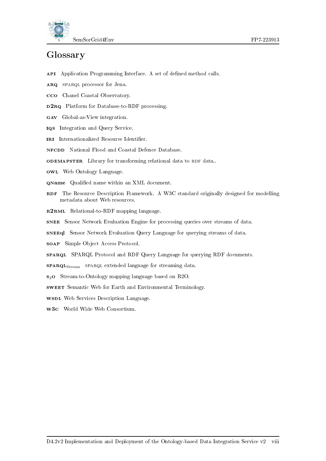



# <span id="page-8-0"></span>Glossary

- API Application Programming Interface. A set of defined method calls.
- ARQ SPARQL processor for Jena.
- cco Chanel Coastal Observatory.
- D2RQ Platform for Database-to-RDF processing.
- gav Global-as-View integration.
- iqs Integration and Query Service.
- IRI Internationalized Resource Identifier.
- NFCDD National Flood and Coastal Defence Database.
- ODEMAPSTER Library for transforming relational data to RDF data..
- owl Web Ontology Language.
- **QName** Qualified name within an XML document.
- RDF The Resource Description Framework. A W3C standard originally designed for modelling metadata about Web resources.
- R2RML Relational-to-RDF mapping language.
- snee Sensor Network Evaluation Engine for processing queries over streams of data.
- sneeql Sensor Network Evaluation Query Language for querying streams of data.
- soap Simple Object Access Protocol.
- sparql SPARQL Protocol and RDF Query Language for querying RDF documents.
- **SPARQL**<sub>Stream</sub> SPARQL extended language for streaming data.
- s2o Stream-to-Ontology mapping language based on R2O.
- sweet Semantic Web for Earth and Environmental Terminology.
- **wspl** Web Services Description Language.
- w3c World Wide Web Consortium.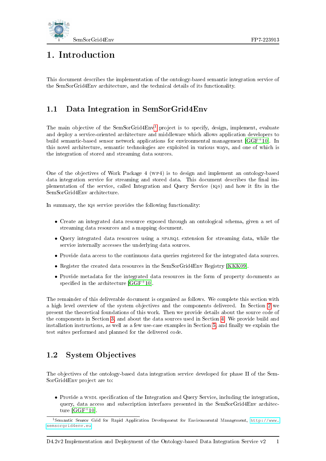

# <span id="page-9-0"></span>1. Introduction

This document describes the implementation of the ontology-based semantic integration service of the SemSorGrid4Env architecture, and the technical details of its functionality.

## <span id="page-9-1"></span>1.1 Data Integration in SemSorGrid4Env

The main objective of the SemSorGrid4Env<sup>[1](#page-9-3)</sup> project is to specify, design, implement, evaluate and deploy a service-oriented architecture and middleware which allows application developers to build semantic-based sensor network applications for environmental management [\[GGF](#page-39-2)+10]. In this novel architecture, semantic technologies are exploited in various ways, and one of which is the integration of stored and streaming data sources.

One of the objectives of Work Package 4 (wp4) is to design and implement an ontology-based data integration service for streaming and stored data. This document describes the final implementation of the service, called Integration and Query Service (iQs) and how it fits in the SemSorGrid4Env architecture.

In summary, the  $IQS$  service provides the following functionality:

- Create an integrated data resource exposed through an ontological schema, given a set of streaming data resources and a mapping document.
- Query integrated data resources using a SPARQL extension for streaming data, while the service internally accesses the underlying data sources.
- Provide data access to the continuous data queries registered for the integrated data sources.
- Register the created data resources in the SemSorGrid4Env Registry [\[KKK09\]](#page-40-0).
- Provide metadata for the integrated data resources in the form of property documents as specified in the architecture  $[GGF<sup>+</sup>10]$  $[GGF<sup>+</sup>10]$ .

The remainder of this deliverable document is organized as follows. We complete this section with a high level overview of the system objectives and the components delivered. In Section [2](#page-15-0) we present the theoretical foundations of this work. Then we provide details about the source code of the components in Section [3,](#page-23-0) and about the data sources used in Section [4.](#page-27-0) We provide build and installation instructions, as well as a few use-case examples in Section [5,](#page-31-0) and finally we explain the test suites performed and planned for the delivered code.

### <span id="page-9-2"></span>1.2 System Objectives

The objectives of the ontology-based data integration service developed for phase II of the Sem-SorGrid4Env project are to:

• Provide a WSDL specification of the Integration and Query Service, including the integration, query, data access and subscription interfaces presented in the SemSorGrid4Env architecture  $[GGF<sup>+</sup>10]$  $[GGF<sup>+</sup>10]$ .

<span id="page-9-3"></span><sup>1</sup>Semantic Sensor Grid for Rapid Application Development for Environmental Management, [http://www.](http://www.semsorgrid4env.eu) [semsorgrid4env.eu](http://www.semsorgrid4env.eu).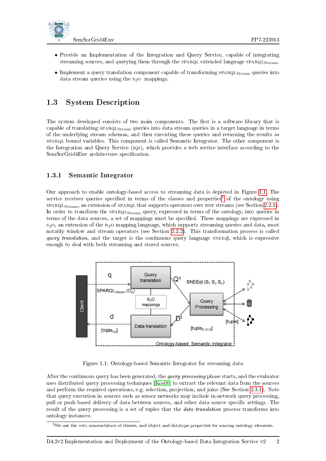

- Provide an Implementation of the Integration and Query Service, capable of integrating streaming sources, and querying them through the  $SPARGL$  extended language  $SPARGL<sub>Stream</sub>$ .
- Implement a query translation component capable of transforming SPARQL<sub>Stream</sub> queries into data stream queries using the  $s_2$ O mappings.

### <span id="page-10-0"></span>1.3 System Description

The system developed consists of two main components. The first is a software library that is capable of translating SPARQL<sub>Stream</sub> queries into data stream queries in a target language in terms of the underlying stream schemas, and then executing these queries and returning the results as sparql bound variables. This component is called Semantic Integrator. The other component is the Integration and Query Service (iqs), which provides a web service interface according to the SemSorGrid4Env architecture specification.

#### <span id="page-10-1"></span>1.3.1 Semantic Integrator

Our approach to enable ontology-based access to streaming data is depicted in Figure [1.1.](#page-10-2) The service receives queries specified in terms of the classes and properties<sup>[2](#page-10-3)</sup> of the ontology using  $SPARGL<sub>Stream</sub>$ , an extension of  $SPARGL$  that supports operators over RDF streams (see Section [2.2.1\)](#page-16-1). In order to transform the  $SPARQL<sub>Stream</sub>$  query, expressed in terms of the ontology, into queries in terms of the data sources, a set of mappings must be specified. These mappings are expressed in  $s<sub>2</sub>$ , an extension of the  $R<sub>2</sub>$  mapping language, which supports streaming queries and data, most notably window and stream operators (see Section [2.2.2\)](#page-16-2). This transformation process is called query translation, and the target is the continuous query language SNEEql, which is expressive enough to deal with both streaming and stored sources.



<span id="page-10-2"></span>Figure 1.1: Ontology-based Semantic Integrator for streaming data

After the continuous query has been generated, the *query processing* phase starts, and the evaluator uses distributed query processing techniques [\[Kos00\]](#page-40-1) to extract the relevant data from the sources and perform the required operations, e.g. selection, projection, and joins (See Section [2.3.1\)](#page-18-1). Note that query execution in sources such as sensor networks may include in-network query processing, pull or push based delivery of data between sources, and other data source specific settings. The result of the query processing is a set of tuples that the *data translation* process transforms into ontology instances.

<span id="page-10-3"></span><sup>2</sup>We use the owl nomenclature of classes, and object and datatype properties for naming ontology elements.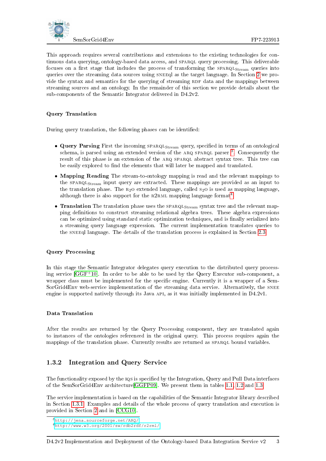

This approach requires several contributions and extensions to the existing technologies for continuous data querying, ontology-based data access, and SPARQL query processing. This deliverable focuses on a first stage that includes the process of transforming the SPARQL<sub>Stream</sub> queries into queries over the streaming data sources using SNEEql as the target language. In Section [2](#page-15-0) we provide the syntax and semantics for the querying of streaming RDF data and the mappings between streaming sources and an ontology. In the remainder of this section we provide details about the sub-components of the Semantic Integrator delivered in D4.2v2.

#### Query Translation

During query translation, the following phases can be identified:

- Query Parsing First the incoming SPARQL<sub>Stream</sub> query, specified in terms of an ontological schema, is parsed using an extended version of the ARQ SPARQL parser <sup>[3](#page-11-1)</sup>. Consequently the result of this phase is an extension of the ARQ SPARQL abstract syntax tree. This tree can be easily explored to find the elements that will later be mapped and translated.
- Mapping Reading The stream-to-ontology mapping is read and the relevant mappings to the SPARQL<sub>Stream</sub> input query are extracted. These mappings are provided as an input to the translation phase. The  $R_2$ O extended language, called  $S_2$ O is used as mapping language, although there is also support for the R2RML mapping language format<sup>[4](#page-11-2)</sup>.
- Translation The translation phase uses the SPARQL<sub>Stream</sub> syntax tree and the relevant mapping definitions to construct streaming relational algebra trees. These algebra expressions can be optimized using standard static optimization techniques, and is finally serialized into a streaming query language expression. The current implementation translates queries to the sneed language. The details of the translation process is explained in Section [2.3.](#page-18-0)

#### Query Processing

In this stage the Semantic Integrator delegates query execution to the distributed query processing service [\[GGF](#page-39-2)<sup>+</sup>10]. In order to be able to be used by the Query Executor sub-component, a wrapper class must be implemented for the specific engine. Currently it is a wrapper of a Sem-SorGrid4Env web-service implementation of the streaming data service. Alternatively, the SNEE engine is supported natively through its Java API, as it was initially implemented in D4.2v1.

#### Data Translation

After the results are returned by the Query Processing component, they are translated again to instances of the ontologies referenced in the original query. This process requires again the mappings of the translation phase. Currently results are returned as  $SPARQL$  bound variables.

#### <span id="page-11-0"></span>1.3.2 Integration and Query Service

The functionality exposed by the IQS is specified by the Integration, Query and Pull Data interfaces of the SemSorGrid4Env architecture[\[GGFP09\]](#page-40-2). We present them in tables [1.1,](#page-12-0) [1.2](#page-13-0) and [1.3.](#page-14-0)

The service implementation is based on the capabilities of the Semantic Integrator library described in Section [1.3.1.](#page-10-1) Examples and details of the whole process of query translation and execution is provided in Section [2](#page-15-0) and in [\[CCG10\]](#page-39-3).

<span id="page-11-2"></span><span id="page-11-1"></span><sup>3</sup><http://jena.sourceforge.net/ARQ/>

<sup>4</sup><http://www.w3.org/2001/sw/rdb2rdf/r2rml/>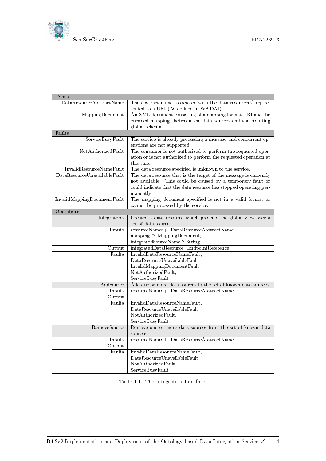

| Types                        |                                                                  |
|------------------------------|------------------------------------------------------------------|
| DataResourceAbstractName     | The abstract name associated with the data $resource(s)$ rep re- |
|                              | sented as a URI (As defined in WS-DAI).                          |
| MappingDocument              | An XML document consisting of a mapping format URI and the       |
|                              | encoded mappings between the data sources and the resulting      |
|                              | global schema.                                                   |
| Faults                       |                                                                  |
| ServiceBusyFault             | The service is already processing a message and concurrent op-   |
|                              | erations are not supported.                                      |
| NotAuthorizedFault           | The consumer is not authorized to perform the requested oper-    |
|                              | ation or is not authorized to perform the requested operation at |
|                              | this time.                                                       |
| InvalidResourceNameFault     | The data resource specified is unknown to the service.           |
| DataResourceUnavailableFault | The data resource that is the target of the message is currently |
|                              | not available. This could be caused by a temporary fault or      |
|                              | could indicate that the data resource has stopped operating per- |
|                              | manently.                                                        |
| InvalidMappingDocumentFault  | The mapping document specified is not in a valid format or       |
|                              | cannot be processed by the service.                              |
| Operations                   |                                                                  |
| IntegrateAs                  | Creates a data resource which presents the global view over a    |
|                              | set of data sources.                                             |
| Inputs                       | resourceNames+: DataResourceAbstractName,                        |
|                              | mappings?: MappingDocument,                                      |
|                              | integratedSourceName?: String                                    |
| Output                       | integratedDataResource: EndpointReference                        |
| Faults                       | InvalidDataResourceNameFault,                                    |
|                              | DataResourceUnavailableFault,                                    |
|                              | InvalidMappingDocumentFault,                                     |
|                              | Not AuthorizedFault,                                             |
|                              | ServiceBusyFault                                                 |
| $\operatorname{AddSource}$   | Add one or more data sources to the set of known data sources.   |
| Inputs                       | resourceNames+: DataResourceAbstractName,                        |
| Output                       |                                                                  |
| Faults                       | InvalidDataResourceNameFault,                                    |
|                              | DataResourceUnavailableFault,                                    |
|                              | Not Authorized Fault,                                            |
|                              | ServiceBusyFault                                                 |
| RemoveSource                 | Remove one or more data sources from the set of known data       |
|                              | sources.                                                         |
| Inputs                       | resourceNames+: DataResourceAbstractName,                        |
| Output                       |                                                                  |
| Faults                       | InvalidDataResourceNameFault,                                    |
|                              | DataResourceUnavailableFault,                                    |
|                              | Not AuthorizedFault,                                             |
|                              | ServiceBusyFault                                                 |

<span id="page-12-0"></span>Table 1.1: The Integration Interface.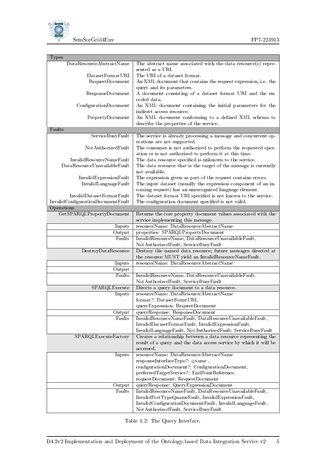



| <b>Types</b>                       |                                                                                                                            |
|------------------------------------|----------------------------------------------------------------------------------------------------------------------------|
| ${\bf Data Resource AbstractName}$ | The abstract name associated with the data resource(s) repre-                                                              |
|                                    | sented as a URI.                                                                                                           |
| DatasetFormatURI                   | The URI of a dataset format.                                                                                               |
| Request Document                   | An XML document that contains the request expression, i.e. the                                                             |
|                                    | query and its parameters.                                                                                                  |
| ResponseDocument                   | A document consisting of a dataset format URI and the en-                                                                  |
|                                    | coded data.                                                                                                                |
| ConfigurationDocument              | An XML document containing the initial parameters for the                                                                  |
|                                    | indirect access resource.                                                                                                  |
| PropertyDocument                   | An XML document conforming to a defined XML schema to                                                                      |
|                                    | describe the properties of the service.                                                                                    |
| Faults                             |                                                                                                                            |
| ServiceBusyFault                   | The service is already processing a message and concurrent op-                                                             |
|                                    | erations are not supported.                                                                                                |
| NotAuthorizedFault                 | The consumer is not authorized to perform the requested oper-                                                              |
| InvalidResourceNameFault           | ation or is not authorized to perform it at this time.                                                                     |
| DataResourceUnavailableFault       | The data resource specified is unknown to the service.<br>The data resource that is the target of the message is currently |
|                                    | not available.                                                                                                             |
| InvalidExpressionFault             | The expression given as part of the request contains errors.                                                               |
| InvalidLanguageFault               | The input dataset (usually the expression component of an in-                                                              |
|                                    | coming request) has an unrecognized language element.                                                                      |
| InvalidDatasetFormatFault          | The dataset format URI specified is not known to the service.                                                              |
| InvalidConfigurationDocumentFault  | The configuration document specified is not valid.                                                                         |
| Operations                         |                                                                                                                            |
| GetSPARQLPropertyDocument          | Returns the core property document values associated with the                                                              |
|                                    | service implementing this message.                                                                                         |
| Inputs                             | resourceName: DataResourceAbstractName                                                                                     |
| Output                             | properties: SPARQLPropertyDocument                                                                                         |
| Faults                             | InvalidResourceName, DataResourceUnavailableFault,                                                                         |
|                                    | NotAuthorizedFault, ServiceBusyFault                                                                                       |
| DestroyDataResource                | Destroy the named data resource; future messages directed at                                                               |
|                                    | the resource MUST yield an InvalidResourceNameFault.                                                                       |
| Inputs                             | resourceName: DataResourceAbstractName                                                                                     |
| Output                             |                                                                                                                            |
| Faults                             | InvalidResourceName, DataResourceUnavailableFault,<br>NotAuthorizedFault, ServiceBusyFault                                 |
| SPARQLExecute                      | Directs a query document to a data resource.                                                                               |
| Inputs                             | resourceName: DataResourceAbstractName                                                                                     |
|                                    | format .: DatasetFormtURI.                                                                                                 |
|                                    | queryExpression: RequestDocument                                                                                           |
| Output                             | queryResponse: ResponseDocument                                                                                            |
| Faults                             | InvalidResourceNameFault, DataResourceUnavailableFault,                                                                    |
|                                    | InvalidDatasetFormatFault, InvalidExpressionFault,                                                                         |
|                                    | InvalidLanguageFault, NotAuthorizedFault, ServiceBusyFault                                                                 |
| SPARQLExecuteFactory               | Creates a relationship between a data resource representing the                                                            |
|                                    | result of a query and the data access service by which it will be                                                          |
|                                    | accessed.                                                                                                                  |
| Inputs                             | resourceName: DataResourceAbstractName                                                                                     |
|                                    | responseInterfaceType?: QName,                                                                                             |
|                                    | configurationDocument?: ConfigurationDocument,                                                                             |
|                                    | preferredTargetService?: EndPointReference,                                                                                |
|                                    | requestDocument: RequestDocument                                                                                           |
| Output                             | queryResponse: QueryExpressionDocument                                                                                     |
| Faults                             | InvalidResourceNameFault, DataResourceUnavailableFault,                                                                    |
|                                    | InvalidPortTypeQnameFault, InvalidExpressionFault,                                                                         |
|                                    | InvalidConfigurationDocumentFault, InvalidLanguageFault,<br>NotAuthorizedFault, ServiceBusyFault                           |
|                                    |                                                                                                                            |

<span id="page-13-0"></span>Table 1.2: The Query Interface.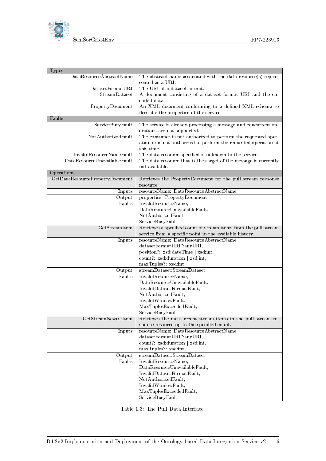

| <b>Types</b>                    |                                                                                    |
|---------------------------------|------------------------------------------------------------------------------------|
| DataResourceAbstractName        | The abstract name associated with the data resource(s) rep re-<br>sented as a URI. |
| DatasetFormatURI                | The URI of a dataset format.                                                       |
| StreamDataset                   | A document consisting of a dataset format URI and the en-                          |
|                                 | coded data.                                                                        |
| PropertyDocument                | An XML document conforming to a defined XML schema to                              |
|                                 | describe the properties of the service.                                            |
| Faults                          |                                                                                    |
| ServiceBusyFault                | The service is already processing a message and concurrent op-                     |
|                                 | erations are not supported.                                                        |
| NotAuthorizedFault              | The consumer is not authorized to perform the requested oper-                      |
|                                 | ation or is not authorized to perform the requested operation at                   |
|                                 | this time.                                                                         |
| InvalidResourceNameFault        | The data resource specified is unknown to the service.                             |
| DataResourceUnavailableFault    | The data resource that is the target of the message is currently                   |
|                                 | not available.                                                                     |
| Operations                      |                                                                                    |
| GetDataResourcePropertyDocument | Retrieves the PropertyDocument for the pull stream response                        |
|                                 | resource.                                                                          |
| Inputs                          | resourceName: DataResourceAbstractName                                             |
| Output                          | properties: PropertyDocument                                                       |
| Faults                          | InvalidResourceName,                                                               |
|                                 | DataResourceUnavailableFault,                                                      |
|                                 | NotAuthorizedFault                                                                 |
|                                 | ServiceBusyFault                                                                   |
| GetStreamItem                   | Retrieves a specified count of stream items from the pull stream                   |
|                                 | service from a specific point in the available history.                            |
| Inputs                          | resourceName: DataResourceAbstractName                                             |
|                                 | datasetFormatURI?:anyURI,                                                          |
|                                 | position?: xsd:dateTime   xsd:int,                                                 |
|                                 | count?: xsd:duration   xsd:int,                                                    |
|                                 | maxTuples?: xsd:int                                                                |
| Output                          | streamDataset:StreamDataset                                                        |
| Faults                          | InvalidResourceName,                                                               |
|                                 | DataResourceUnavailableFault,                                                      |
|                                 | InvalidDatasetFormatFault,                                                         |
|                                 | Not AuthorizedFault,                                                               |
|                                 | InvalidWindowFault,                                                                |
|                                 | MaxTuplesExceededFault,                                                            |
|                                 | ServiceBusyFault                                                                   |
| GetStreamNewestItem             | Retrieves the most recent stream items in the pull stream re-                      |
|                                 | sponse resource up to the specified count.                                         |
| Inputs                          | resourceName: DataResourceAbstractName                                             |
|                                 | datasetFormatURI?:anyURI,                                                          |
|                                 | count?: xsd:duration   xsd:int,                                                    |
|                                 | maxTuples?: xsd:int                                                                |
| Output                          | streamDataset:StreamDataset                                                        |
| Faults                          | InvalidResourceName,                                                               |
|                                 | DataResourceUnavailableFault,                                                      |
|                                 | InvalidDatasetFormatFault,                                                         |
|                                 | Not Authorized Fault,                                                              |
|                                 | InvalidWindowFault,                                                                |
|                                 | MaxTuplesExceededFault,                                                            |
|                                 | ServiceBusyFault                                                                   |

<span id="page-14-0"></span>Table 1.3: The Pull Data Interface.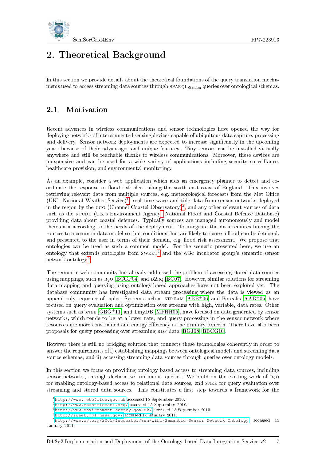

## <span id="page-15-0"></span>2. Theoretical Background

In this section we provide details about the theoretical foundations of the query translation mechanisms used to access streaming data sources through SPARQL<sub>Stream</sub> queries over ontological schemas.

### <span id="page-15-1"></span>2.1 Motivation

Recent advances in wireless communications and sensor technologies have opened the way for deploying networks of interconnected sensing devices capable of ubiquitous data capture, processing and delivery. Sensor network deployments are expected to increase signicantly in the upcoming years because of their advantages and unique features. Tiny sensors can be installed virtually anywhere and still be reachable thanks to wireless communications. Moreover, these devices are inexpensive and can be used for a wide variety of applications including security surveillance, healthcare provision, and environmental monitoring.

As an example, consider a web application which aids an emergency planner to detect and coordinate the response to flood risk alerts along the south east coast of England. This involves retrieving relevant data from multiple sources, e.g. meteorological forecasts from the Met Office (UK's National Weather Service)[1](#page-15-2) , real-time wave and tide data from sensor networks deployed in the region by the  $\rm{cco}$  (Channel Coastal Observatory)<sup>[2](#page-15-3)</sup>, and any other relevant sources of data such as the NFCDD (UK's Environment Agency<sup>[3](#page-15-4)</sup> National Flood and Coastal Defence Database) providing data about coastal defences. Typically sources are managed autonomously and model their data according to the needs of the deployment. To integrate the data requires linking the sources to a common data model so that conditions that are likely to cause a flood can be detected, and presented to the user in terms of their domain, e.g. flood risk assessment. We propose that ontologies can be used as such a common model. For the scenario presented here, we use an ontology that extends ontologies from  $\text{SWEET}^4$  $\text{SWEET}^4$  and the W3C incubator group's semantic sensor network ontology[5](#page-15-6) .

The semantic web community has already addressed the problem of accessing stored data sources using mappings, such as  $R_2O$  [\[BCGP04\]](#page-39-4) and D2RQ [\[BC07\]](#page-39-5). However, similar solutions for streaming data mapping and querying using ontology-based approaches have not been explored yet. The database community has investigated data stream processing where the data is viewed as an append-only sequence of tuples. Systems such as  $STREAM$  [\[ABB](#page-39-6)+06] and Borealis [\[AAB](#page-39-7)+05] have focused on query evaluation and optimization over streams with high, variable, data rates. Other systems such as snee [\[GBG](#page-39-8)<sup>+</sup>11] and TinyDB [\[MFHH05\]](#page-40-3), have focused on data generated by sensor networks, which tends to be at a lower rate, and query processing in the sensor network where resources are more constrained and energy efficiency is the primary concern. There have also been proposals for query processing over streaming RDF data [\[BGJ08,](#page-39-9) [BBCG10\]](#page-39-10).

However there is still no bridging solution that connects these technologies coherently in order to answer the requirements of i) establishing mappings between ontological models and streaming data source schemas, and ii) accessing streaming data sources through queries over ontology models.

In this section we focus on providing ontology-based access to streaming data sources, including sensor networks, through declarative continuous queries. We build on the existing work of  $R_2O$ for enabling ontology-based access to relational data sources, and SNEE for query evaluation over streaming and stored data sources. This constitutes a first step towards a framework for the

<span id="page-15-4"></span><sup>3</sup><http://www.environment-agency.gov.uk/> accessed 15 September 2010.

<span id="page-15-2"></span><sup>1</sup><http://www.metoffice.gov.uk> accessed 15 September 2010.

<span id="page-15-3"></span><sup>2</sup><http://www.channelcoast.org/> accessed 15 September 2010.

<span id="page-15-6"></span><span id="page-15-5"></span> $^4$ <http://sweet.jpl.nasa.gov/> accessed 15 January 2011.

<sup>5</sup>[http://www.w3.org/2005/Incubator/ssn/wiki/Semantic\\_Sensor\\_Network\\_Ontology](http://www.w3.org/2005/Incubator/ssn/wiki/Semantic_Sensor_Network_Ontology) accessed 15 January 2011.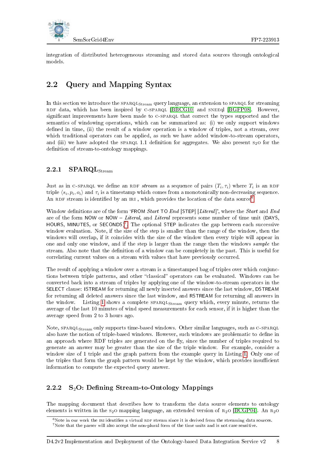

integration of distributed heterogeneous streaming and stored data sources through ontological models.

## <span id="page-16-0"></span>2.2 Query and Mapping Syntax

In this section we introduce the SPARQL<sub>Stream</sub> query language, an extension to SPARQL for streaming RDF data, which has been inspired by C-SPARQL [\[BBCG10\]](#page-39-10) and SNEEql [\[BGFP08\]](#page-39-11). However, significant improvements have been made to C-SPARQL that correct the types supported and the semantics of windowing operations, which can be summarized as: (i) we only support windows defined in time, (ii) the result of a window operation is a window of triples, not a stream, over which traditional operators can be applied, as such we have added window-to-stream operators, and (iii) we have adopted the SPARQL 1.1 definition for aggregates. We also present  $s_2$ O for the definition of stream-to-ontology mappings.

### <span id="page-16-1"></span>2.2.1  $SPARQL<sub>Stream</sub>$

Just as in C-SPARQL we define an RDF stream as a sequence of pairs  $(T_i, \tau_i)$  where  $T_i$  is an RDF triple  $\langle s_i, p_i, o_i \rangle$  and  $\tau_i$  is a timestamp which comes from a monotonically non-decreasing sequence. An RDF stream is identified by an IRI, which provides the location of the data source<sup>[6](#page-16-3)</sup>.

Window definitions are of the form 'FROM Start TO End [STEP] [Literal]', where the Start and End are of the form NOW or NOW  $-$  Literal, and Literal represents some number of time unit (DAYS, HOURS, MINUTES, or SECONDS)<sup>[7](#page-16-4)</sup>. The optional STEP indicates the gap between each successive window evaluation. Note, if the size of the step is smaller than the range of the window, then the windows will overlap, if it coincides with the size of the window then every triple will appear in one and only one window, and if the step is larger than the range then the windows sample the stream. Also note that the denition of a window can be completely in the past. This is useful for correlating current values on a stream with values that have previously occurred.

The result of applying a window over a stream is a timestamped bag of triples over which conjunctions between triple patterns, and other "classical" operators can be evaluated. Windows can be converted back into a stream of triples by applying one of the window-to-stream operators in the SELECT clause: ISTREAM for returning all newly inserted answers since the last window, DSTREAM for returning all deleted answers since the last window, and RSTREAM for returning all answers in the window. Listing [1](#page-17-0) shows a complete  $SPARQL<sub>Stream</sub>$  query which, every minute, returns the average of the last 10 minutes of wind speed measurements for each sensor, if it is higher than the average speed from 2 to 3 hours ago.

Note, SPARQL<sub>Stream</sub> only supports time-based windows. Other similar languages, such as C-SPARQL also have the notion of triple-based windows. However, such windows are problematic to define in an approach where RDF triples are generated on the fly, since the number of triples required to generate an answer may be greater than the size of the triple window. For example, consider a window size of 1 triple and the graph pattern from the example query in Listing [1.](#page-17-0) Only one of the triples that form the graph pattern would be kept by the window, which provides insufficient information to compute the expected query answer.

### <span id="page-16-2"></span>2.2.2  $S_2O:$  Defining Stream-to-Ontology Mappings

The mapping document that describes how to transform the data source elements to ontology elements is written in the s<sub>2</sub>0 mapping language, an extended version of  $R_2$ o [\[BCGP04\]](#page-39-4). An  $R_2$ o

<span id="page-16-4"></span><span id="page-16-3"></span> $6$ Note in our work the ini identifies a virtual RDF stream since it is derived from the streaming data sources.  $7$  Note that the parser will also accept the non-plural form of the time units and is not case sensitive.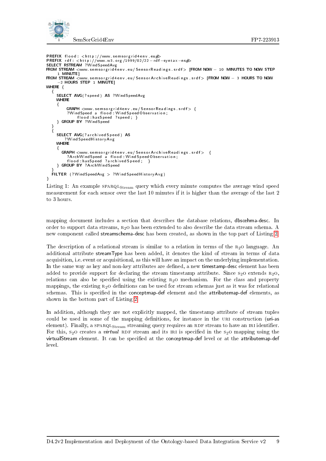

```
PREFIX flood: \langlehttp://www.semsorgrid4env.eu#<br>PREFIX rdf: \langlehttp://www.w3.org/1999/02/22-rd
         r d f : <h t t p ://www . w3 . or g /1999/02/22−r d f −sy n t a x −n s#>
SELECT RSTREAM ?WindSpeedAvg<br>FROM STREAM <www.semsorgrid4env.eu/SensorReadings.srdf> [FROM NOW — 10 MINUTES TO NOW STEP
       1 MINUTE]
FROM STREAM <www semsorgrid4env eu/SensorArchiveReadings srdf> [FROM NOW - 3 HOURS TO NOW
       −2 HOURS STEP 1 MINUTE]
WHERE {
   {
      SELECT AVG(? speed) AS ?WindSpeedAvg
      WHERE
      {
            GRAPH \ltwww.semsorgrid4env.eu/SensorReadings.srdf> {
            ?WindSpeed a f l o o d : Wi n d S p e e dO b s e r v a ti o n ;
f l o o d : h a sS pee d ? s p e e d ; }
      } GROUP BY ?WindSpeed
   }
{
      SELECT AVG(? archived Speed) AS
           ? Wind Speed History Avg
     WHERE
      {
         \overline{\text{GRAPH}} \text{\ensuremath{\leq_{\mathrm{www.~semsorgrid4env.eu}/SensorArchiveReadings. srdf}}? ArchWindSpeed a f l o o d : Wi n dS p e e dO b s e r v a ti o n ;
f l o o d : h a sS pee d ? a r c h i v e d S p e e d ; }
      } GROUP BY ? ArchWindSpeed
   }<br>FILTER (?WindSpeedAvg > ?WindSpeedHistoryAvg)
}
```
Listing 1: An example  $SPARQL_{Stream}$  query which every minute computes the average wind speed measurement for each sensor over the last 10 minutes if it is higher than the average of the last 2 to 3 hours.

mapping document includes a section that describes the database relations, dbscehma-desc. In order to support data streams,  $R_2O$  has been extended to also describe the data stream schema. A new component called streamschema-desc has been created, as shown in the top part of Listing [2.](#page-18-2)

The description of a relational stream is similar to a relation in terms of the  $R_2$ O language. An additional attribute streamType has been added, it denotes the kind of stream in terms of data acquisition, i.e. event or acquisitional, as this will have an impact on the underlying implementation. In the same way as key and non-key attributes are defined, a new timestamp-desc element has been added to provide support for declaring the stream timestamp attribute. Since  $s_2$ O extends  $r_{2}$ O, relations can also be specified using the existing  $R<sub>2</sub>$  o mechanism. For the class and property mappings, the existing  $R_2$ o definitions can be used for stream schemas just as it was for relational schemas. This is specified in the conceptmap-def element and the attributemap-def elements, as shown in the bottom part of Listing [2.](#page-18-2)

In addition, although they are not explicitly mapped, the timestamp attribute of stream tuples could be used in some of the mapping definitions, for instance in the URI construction (uri-as element). Finally, a  $SPARQL<sub>Stream</sub>$  streaming query requires an RDF stream to have an IRI identifier. For this,  $s_2$ O creates a *virtual* RDF stream and its IRI is specified in the  $s_2$ O mapping using the virtualStream element. It can be specified at the conceptmap-def level or at the attributemap-def level.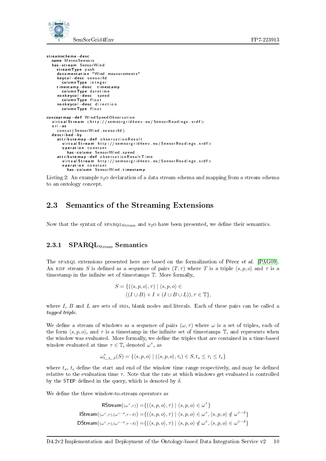

```
st reamschema−d e s c
  name MeteoSensors
  has−stream SensorWind
    streamType push
    do cumentation "Wind measurements"
    keycol-desc sensorid
       column Type integer
    timestamp-desc timestamp
     columnType datetime<br>nonkeycol—desc speed
      columnType float<br>onkevcol—desc directior
    n on k e y c ol−d e s c
       columnType float
conceptmap-d ef Wind Speed Observation
  virtual Stream <http://semsorgrid4env.eu/SensorReadings.srdf>
  u r i −a s
    concat (SensorWind sensorId)
  d e s c r i b e d −by
    at tribut em ap −d ef observation Result
       \mathsf{virtualStream}\ \ \mathsf{http://semsorgrid4env.eu/SensorReadings.srdf}\!>operation constant
         has−column Senso rWind . s p e e d
    at tribut em ap -d ef observation Result Time
       virtual Stream http://semsorgrid4env.eu/SensorReadings.srdf>
       operation constant
         has-column SensorWind timestamp
```
Listing 2: An example  $s_2$  odeclaration of a data stream schema and mapping from a stream schema to an ontology concept.

### <span id="page-18-0"></span>2.3 Semantics of the Streaming Extensions

Now that the syntax of  $SPARQL<sub>Stream</sub>$  and  $s<sub>2</sub>$  have been presented, we define their semantics.

#### <span id="page-18-1"></span>2.3.1 SPARQL<sub>Stream</sub> Semantics

The spart extensions presented here are based on the formalization of Pérez et al. [\[PAG09\]](#page-40-4). An RDF stream S is defined as a sequence of pairs  $(T, \tau)$  where T is a triple  $\langle s, p, o \rangle$  and  $\tau$  is a timestamp in the infinite set of timestamps  $T$ . More formally,

$$
S = \{ (\langle s, p, o \rangle, \tau) \mid \langle s, p, o \rangle \in
$$

$$
((I \cup B) \times I \times (I \cup B \cup L)), \tau \in \mathbb{T} \},
$$

where  $I, B$  and  $L$  are sets of IRIs, blank nodes and literals. Each of these pairs can be called a tagged triple.

We define a stream of windows as a sequence of pairs  $(\omega, \tau)$  where  $\omega$  is a set of triples, each of the form  $\langle s, p, o \rangle$ , and  $\tau$  is a timestamp in the infinite set of timestamps T, and represents when the window was evaluated. More formally, we define the triples that are contained in a time-based window evaluated at time  $\tau \in \mathbb{T}$ , denoted  $\omega^{\tau}$ , as

$$
\omega_{t_s,t_e,\delta}^{\tau}(S) = \{ \langle s,p,o \rangle \mid (\langle s,p,o \rangle, \tau_i) \in S, t_s \leq \tau_i \leq t_e \}
$$

where  $t_s$ ,  $t_e$  define the start and end of the window time range respectively, and may be defined relative to the evaluation time  $\tau$ . Note that the rate at which windows get evaluated is controlled by the STEP defined in the query, which is denoted by  $\delta$ .

We define the three window-to-stream operators as

$$
\mathsf{RStream}((\omega^{\tau},\tau)) = \{ (\langle s,p,o \rangle, \tau) \mid \langle s,p,o \rangle \in \omega^{\tau} \}
$$
  

$$
\mathsf{IStream}((\omega^{\tau},\tau),(\omega^{\tau-\delta},\tau-\delta)) = \{ (\langle s,p,o \rangle, \tau) \mid \langle s,p,o \rangle \in \omega^{\tau}, \langle s,p,o \rangle \notin \omega^{\tau-\delta} \}
$$
  

$$
\mathsf{DStream}((\omega^{\tau},\tau),(\omega^{\tau-\delta},\tau-\delta)) = \{ (\langle s,p,o \rangle, \tau) \mid \langle s,p,o \rangle \notin \omega^{\tau}, \langle s,p,o \rangle \in \omega^{\tau-\delta} \}
$$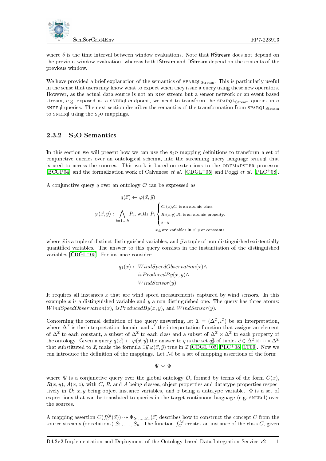

where  $\delta$  is the time interval between window evaluations. Note that RStream does not depend on the previous window evaluation, whereas both IStream and DStream depend on the contents of the previous window.

We have provided a brief explanation of the semantics of  $SPARGL<sub>Stream</sub>$ . This is particularly useful in the sense that users may know what to expect when they issue a query using these new operators. However, as the actual data source is not an RDF stream but a sensor network or an event-based stream, e.g. exposed as a SNEEql endpoint, we need to transform the  $SPARGL_{Stream}$  queries into sneedl queries. The next section describes the semantics of the transformation from SPARQLStream to sneed using the  $s_2$ o mappings.

#### <span id="page-19-0"></span>2.3.2  $S_2O$  Semantics

In this section we will present how we can use the  $s_2$ O mapping definitions to transform a set of conjunctive queries over an ontological schema, into the streaming query language sneeql that is used to access the sources. This work is based on extensions to the odemapster processor [\[BCGP04\]](#page-39-4) and the formalization work of Calvanese *et al.* [\[CDGL](#page-39-12)<sup>+</sup>05] and Poggi *et al.* [\[PLC](#page-40-5)<sup>+</sup>08].

A conjunctive query q over an ontology  $\mathcal O$  can be expressed as:

$$
q(\vec{x}) \leftarrow \varphi(\vec{x}, \vec{y})
$$
  

$$
\varphi(\vec{x}, \vec{y}) : \bigwedge_{i=1...k} P_i, \text{ with } P_i \begin{cases} C_i(x), C_i \text{ is an atomic class.} \\ R_i(x,y), R_i \text{ is an atomic property.} \\ x=y \\ x,y \text{ are variables in } \vec{x}, \vec{y} \text{ or constants.} \end{cases}
$$

where  $\vec{x}$  is a tuple of distinct distinguished variables, and  $\vec{y}$  a tuple of non-distinguished existentially quantified variables. The answer to this query consists in the instantiation of the distinguished variables  $[CDGL<sup>+</sup>05]$  $[CDGL<sup>+</sup>05]$ . For instance consider:

$$
q_1(x) \leftarrow WindSpeedObservation(x) \land
$$
  
isProducedBy(x, y) \land  
Windowsensor(y)

It requires all instances  $x$  that are wind speed measurements captured by wind sensors. In this example  $x$  is a distinguished variable and  $y$  a non-distinguished one. The query has three atoms:  $WindowspeedObservation(x), isProducedBy(x, y),$  and  $Windowsensor(y)$ .

Concerning the formal definition of the query answering, let  $\mathcal{I} = (\Delta^{\mathcal{I}}, \mathcal{I})$  be an interpretation, where  $\Delta^{\mathcal{I}}$  is the interpretation domain and  $\cdot^{\mathcal{I}}$  the interpretation function that assigns an element of  $\Delta^{\mathcal{I}}$  to each constant, a subset of  $\Delta^{\mathcal{I}}$  to each class and a subset of  $\Delta^{\mathcal{I}}\times\Delta^{\mathcal{I}}$  to each property of the ontology. Given a query  $q(\vec{x}) \leftarrow \varphi(\vec{x},\vec{y})$  the answer to  $q$  is the set  $q^{\mathcal{I}}_{\vec{x}}$  of tuples  $\vec{c} \in \Delta^{\mathcal{I}} \times \cdots \times \Delta^{\mathcal{I}}$ that substituted to  $\vec{x}$ , make the formula  $\exists \vec{y}.\varphi(\vec{x}, \vec{y})$  true in  $\mathcal{I}$  [\[CDGL](#page-39-12)<sup>+</sup>05, [PLC](#page-40-5)<sup>+</sup>08, [LT09\]](#page-40-6). Now we can introduce the definition of the mappings. Let  $M$  be a set of mapping assertions of the form:

 $\Psi \rightsquigarrow \Phi$ 

where  $\Psi$  is a conjunctive query over the global ontology  $\mathcal{O}$ , formed by terms of the form  $C(x)$ ,  $R(x, y)$ ,  $A(x, z)$ , with C, R, and A being classes, object properties and datatype properties respectively in  $\mathcal{O}$ ; x, y being object instance variables, and z being a datatype variable.  $\Phi$  is a set of expressions that can be translated to queries in the target continuous language (e.g.  $SNEEql$ ) over the sources.

A mapping assertion  $C(f_C^{Id}(\vec{x})) \rightsquigarrow \Phi_{S_1,...,S_n}(\vec{x})$  describes how to construct the concept C from the source streams (or relations)  $S_1, \ldots, S_n$ . The function  $f_C^{Id}$  creates an instance of the class  $C$ , given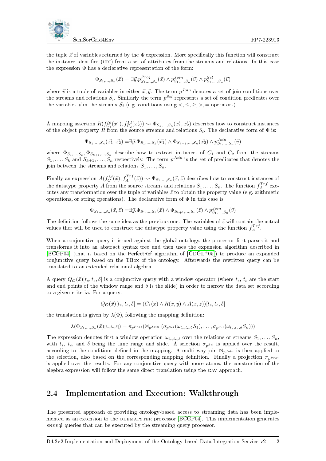

the tuple  $\vec{x}$  of variables returned by the  $\Phi$  expression. More specifically this function will construct the instance identifier (URI) from a set of attributes from the streams and relations. In this case the expression  $\Phi$  has a declarative representation of the form:

$$
\Phi_{S_1,...,S_n}(\vec{x})=\exists \vec{y}.p^{Proj}_{S_1,...,S_n}(\vec{x}) \wedge p^{Join}_{S_1,...,S_n}(\vec{v}) \wedge p^{Sel}_{S_1,...,S_n}(\vec{v})
$$

where  $\vec{v}$  is a tuple of variables in either  $\vec{x}, \vec{y}$ . The term  $p^{Join}$  denotes a set of join conditions over the streams and relations  $S_i$ . Similarly the term  $p^{Sel}$  represents a set of condition predicates over the variables  $\vec{v}$  in the streams  $S_i$  (e.g. conditions using  $\langle , \leq, \geq, \rangle$ , = operators).

A mapping assertion  $R(f_{C_1}^{Id}(\vec{x_1}), f_{C_2}^{Id}(\vec{x_2})) \sim \Phi_{S_1,...,S_n}(\vec{x_1}, \vec{x_2})$  describes how to construct instances of the object property R from the source streams and relations  $S_i$ . The declarative form of  $\Phi$  is:

$$
\Phi_{S_1,...,S_n}(\vec{x_1},\vec{x_2}) = \exists \vec{y}.\Phi_{S_1,...,S_k}(\vec{x_1}) \land \Phi_{S_{k+1},...,S_n}(\vec{x_2}) \land p_{S_1,...,S_n}^{Join}(\vec{v})
$$

where  $\Phi_{S_1,...,S_k}, \Phi_{S_{k+1},...,S_n}$  describe how to extract instances of  $C_1$  and  $C_2$  from the streams  $S_1, \ldots, S_k$  and  $S_{k+1}, \ldots, S_n$  respectively. The term  $p^{Join}$  is the set of predicates that denotes the ioin between the streams and relations  $S_1, \ldots, S_n$ .

Finally an expression  $A(f_C^{Id}(\vec{x}), f_A^{Trf}(\vec{z})) \sim \Phi_{S_1,...,S_n}(\vec{x}, \vec{z})$  describes how to construct instances of the datatype property  $A$  from the source streams and relations  $S_1, \ldots, S_n$ . The function  $f_A^{Trf}$  executes any transformation over the tuple of variables  $\vec{z}$  to obtain the property value (e.g. arithmetic operations, or string operations). The declarative form of  $\Phi$  in this case is:

$$
\Phi_{S_1,\dots,S_n}(\vec{x},\vec{z}) = \exists \vec{y}.\Phi_{S_1,\dots,S_k}(\vec{x}) \land \Phi_{S_{k+1},\dots,S_n}(\vec{z}) \land p_{S_1,\dots,S_n}^{Join}(\vec{v})
$$

The definition follows the same idea as the previous one. The variables of  $\vec{z}$  will contain the actual values that will be used to construct the datatype property value using the function  $f_A^{Trf}$ .

When a conjunctive query is issued against the global ontology, the processor first parses it and transforms it into an abstract syntax tree and then uses the expansion algorithm described in [\[BCGP04\]](#page-39-4) (that is based on the PerfectRef algorithm of  $[CDGL^{+}05]$  $[CDGL^{+}05]$ ) to produce an expanded conjunctive query based on the TBox of the ontology. Afterwards the rewritten query can be translated to an extended relational algebra.

A query  $Q_{\mathcal{O}}(\vec{x})[t_s, t_e, \delta]$  is a conjunctive query with a window operator (where  $t_s$ ,  $t_e$  are the start and end points of the window range and  $\delta$  is the slide) in order to narrow the data set according to a given criteria. For a query:

$$
Q_{\mathcal{O}}(\vec{x})[t_s, t_e, \delta] = (C_1(x) \wedge R(x, y) \wedge A(x, z))[t_s, t_e, \delta]
$$

the translation is given by  $\lambda(\Phi)$ , following the mapping definition:

$$
\lambda(\Phi_{S_1,\ldots,S_n}(\vec{x})_{[t_s,t_e,\delta]})=\pi_{p^{\text{Proj}}}(\mathbb{N}_{p^{\text{Join}}}\left(\sigma_{p^{\text{Self}}}(\omega_{t_s,t_e,\delta}S_1),\ldots,\sigma_{p^{\text{Self}}}(\omega_{t_s,t_e,\delta}S_n)\right))
$$

The expression denotes first a window operation  $\omega_{t_s,t_e,\delta}$  over the relations or streams  $S_1, \ldots, S_n$ , with  $t_s$ ,  $t_e$ , and  $\delta$  being the time range and slide. A selection  $\sigma_{p^{Sel}}$  is applied over the result, according to the conditions defined in the mapping. A multi-way join  $\mathbb{M}_{p^{J}^{j}}$  is then applied to the selection, also based on the corresponding mapping definition. Finally a projection  $\pi_{n^{\text{Proj}}}$ is applied over the results. For any conjunctive query with more atoms, the construction of the algebra expression will follow the same direct translation using the gav approach.

#### <span id="page-20-0"></span>2.4 Implementation and Execution: Walkthrough

The presented approach of providing ontology-based access to streaming data has been implemented as an extension to the odemapster processor [\[BCGP04\]](#page-39-4). This implementation generates sneed queries that can be executed by the streaming query processor.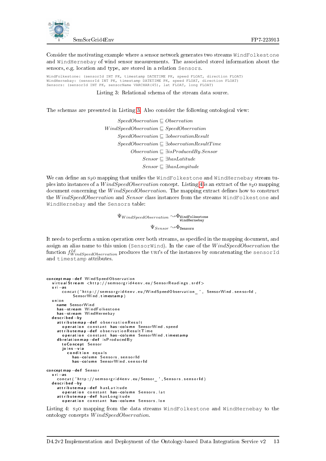

Consider the motivating example where a sensor network generates two streams WindFolkestone and WindHernebay of wind sensor measurements. The associated stored information about the sensors, e.g. location and type, are stored in a relation Sensors.

<span id="page-21-0"></span>WindFolkestone: (sensorId INT PK, timestamp DATETIME PK, speed FLOAT, direction FLOAT) WindHernebay: (sensorId INT PK, timestamp DATETIME PK, speed FLOAT, direction FLOAT) Sensors: (sensorId INT PK, sensorName VARCHAR(45), lat FLOAT, long FLOAT)

Listing 3: Relational schema of the stream data source.

The schemas are presented in Listing [3.](#page-21-0) Also consider the following ontological view:

 $SpeedObservation \sqsubseteq Observation$  $Windowservation \sqsubseteq SpeedObservation$  $SpeedObservation \sqsubseteq \exists observationResult$  $SpeedObservation \sqsubseteq \exists observationResultTime$  $Observation \sqsubseteq \exists isProducedBy.Sensor$  $Sensor \sqsubseteq \exists hasLatitude$  $Sensor \sqsubseteq \exists hasLongitude$ 

We can define an  $s_2$ O mapping that unifies the WindFolkestone and WindHernebay stream tuples into instances of a  $WindowspeedObservation$  concept. Listing [4](#page-21-1) is an extract of the s<sub>2</sub>O mapping document concerning the WindSpeedObservation. The mapping extract defines how to construct the WindSpeedObservation and Sensor class instances from the streams WindFolkestone and WindHernebay and the Sensors table:

> $\Psi_{WindowsedObservation} \sim \Phi_{\texttt{Window}}$  indHernebay  $\Psi_{Sensor} \!\sim\!\! \Phi_{\texttt{Sensors}}$

It needs to perform a union operation over both streams, as specified in the mapping document, and assign an alias name to this union (SensorWind). In the case of the  $WindowspeedObservation$  the function  $f_{WindowspeedObservation}^{Id}$  produces the URI's of the instances by concatenating the sensorId and timestamp attributes.

```
conceptmap-d ef Wind Speed Observation
  virtual Stream <http://semsorgrid4env.eu/SensorReadings.srdf>
  u r i −a s
       concat ('http://semsorgrid4env.eu/WindSpeedObservation__', SensorWind.sensorId,
           Sensor Wind timestamp)
  u n i o n
    name SensorWind
    has−stream WindFolkestone
    has-stream WindHernebay
  d e s c r i b e d −by
    at tribut em ap -def observation Result
       operation constant has-column SensorWind speed
     attributemap—def observationResultTime<br>operation constant has—column SensorWind timestamp
    d b r e l a t i o n m a p - d e f is P r o d u c e d B y
       to Concept Sensor
       joins -via
         condition equals
           has-column Sensors sensorid
           has-column SensorWind sensorId
conceptmap-d ef Sensor
  u r i −a s
    concat ('http://semsorgrid4env.eu/Sensor_',Sensors.sensorld)
  d escribed −by
    at tribut em ap −d ef has Latitude
       operation constant has—column Sensors lat
    at tribut em ap -def has Longitude
       operation constant has-column Sensors lon
```
Listing 4: S<sub>2</sub>O mapping from the data streams WindFolkestone and WindHernebay to the ontology concepts W indSpeedObservation.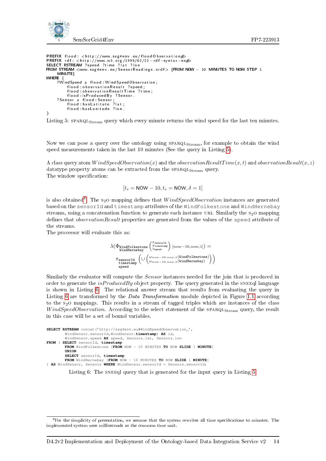



```
PREFIX flood: <http://www.ssg4env.eu/floodObservation#><br>PREFIX rdf: <http://www.w3.org/1999/02/22-rdf-syntax-ns#><br>SELECT RSTREAM <www.ssg4env.eu/SensorReadings.srdf> [FROM NOW — 10 MINUTES TO NOW STEP 1
      MINUTE]
WHERE {<br>WindSpeed  a  flood: WindSpeedObservation ;?
             f lood : o b s er v a tion R e sult ? speed ;
             f | o o d : o b ser vation Res ult Tim e ? time
             flood is Produced By ? Sensor
      ? Sensor a flood : Sensor ;
             flood : has Latitute ?lat ;
             flood : has Lonitude ? lon.
}
```


Now we can pose a query over the ontology using SPARQL<sub>Stream</sub>, for example to obtain the wind speed measurements taken in the last 10 minutes (See the query in Listing [5\)](#page-22-0).

A class query atom  $WindowspeedObservation(x)$  and the *observationResultTime(x,t)* and *observationResult(x,z)* datatype property atoms can be extracted from the  $\texttt{SPARQLStream}$  query. The window specification:

$$
[t_s = \text{NOW} - 10, t_e = \text{NOW}, \delta = 1]
$$

is also obtained<sup>[8](#page-22-1)</sup>. The s<sub>2</sub>O mapping defines that  $WindowspecdObservation$  instances are generated based on the sensorId and timestamp attributes of the WindFolkestone and WindHernebay streams, using a concatenation function to generate each instance URI. Similarly the  $s<sub>2</sub>$  o mapping defines that *observationResult* properties are generated from the values of the speed attribute of the streams.

The processor will evaluate this as:

$$
\lambda\big(\Phi\text{WindowFolkestone}\left(\begin{smallmatrix}\begin{smallmatrix} \mathcal{X}\text{sensorId} \\ \mathcal{X}\text{tinestrum} \end{smallmatrix} \\ \mathcal{Y}\text{vindHernebay} \end{smallmatrix}\right)[now-10,now,1]\big)=\\ \pi\text{sensorId}\left(\cup\left(\begin{smallmatrix} \omega_{now-10,now,1}(\text{WindowFolkestone}) \\ \omega_{now-10,now,1}(\text{WindowFolkestone}) \\ \text{speed}\end{smallmatrix}\right)\right)
$$

Similarly the evaluator will compute the Sensor instances needed for the join that is produced in order to generate the  $isProducedBy$  object property. The query generated in the SNEEql language is shown in Listing [6.](#page-22-2) The relational answer stream that results from evaluating the query in Listing [6](#page-22-2) are transformed by the *Data Transformation* module depicted in Figure [1.1](#page-10-2) according to the s<sub>2</sub>O mappings. This results in a stream of tagged triples which are instances of the class WindSpeedObservation. According to the select statement of the SPARQL<sub>Stream</sub> query, the result in this case will be a set of bound variables.

```
SELECT RSTREAM concat('http://ssg4env.eu#WindSpeedObservation_',
        WindSensor.sensorId,WindSensor.timestamp) AS id,
        WindSensor.speed AS speed, Sensors.lat, Sensors.lon
FROM ( SELECT sensorId, timestamp
        FROM WindFolkestone [FROM NOW - 10 MINUTES TO NOW SLIDE 1 MINUTE]
        UNION
        SELECT sensorId, timestamp
        FROM WindHernebay [FROM NOW - 10 MINUTES TO NOW SLIDE 1 MINUTE]
) AS WindSensor, Sensors WHERE WindSensor.sensorId = Sensors.sensorId;
```
Listing 6: The SNEEql query that is generated for the input query in Listing [5.](#page-22-0)

<span id="page-22-1"></span><sup>&</sup>lt;sup>8</sup>For the simplicity of presentation, we assume that the system rewrites all time specifications to minutes. The implemented system uses milliseconds as the common time unit.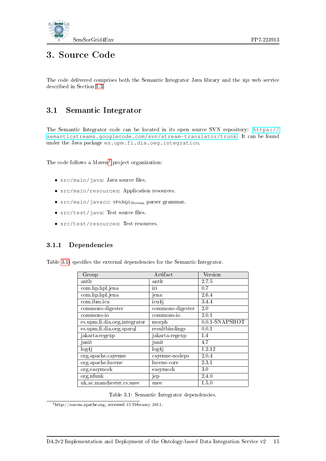

# <span id="page-23-0"></span>3. Source Code

The code delivered comprises both the Semantic Integrator Java library and the iqs web service described in Section [1.3.](#page-10-0)

### <span id="page-23-1"></span>3.1 Semantic Integrator

The Semantic Integrator code can be located in its open source SVN repository: [https://](https://semanticstreams.googlecode.com/svn/stream-translator/trunk) [semanticstreams.googlecode.com/svn/stream-translator/trunk](https://semanticstreams.googlecode.com/svn/stream-translator/trunk). It can be found under the Java package es.upm.fi.dia.oeg.integration.

The code follows a  $Maven<sup>1</sup>$  $Maven<sup>1</sup>$  $Maven<sup>1</sup>$  project organization:

- $\bullet$  src/main/java: Java source files.
- src/main/resources: Application resources.
- $\bullet$  src/main/javacc: SPARQL $_{\rm Stream}$  parser grammar.
- $\bullet$  src/test/java: Test source files.
- src/test/resources: Test resources.

#### <span id="page-23-2"></span>3.1.1 Dependencies

Table [3.1\)](#page-23-3) specifies the external dependencies for the Semantic Integrator.

| Group                        | Artifact          | Version           |
|------------------------------|-------------------|-------------------|
| antlr                        | antlr             | 2.7.5             |
| com.hp.hpl.jena              | iri               | 0.7               |
| com.hp.hpl.jena              | jena              | 2.6.4             |
| com.ibm.icu                  | icu4j             | 344               |
| commons-digester             | commons-digester  | 2.0               |
| commons-io                   | commons-io        | 2.0.1             |
| es upm.fi.dia.oeg.integrator | morph             | $0.0.1$ -SNAPSHOT |
| es.upm.fi.dia.oeg.sparql     | result bindings   | 0.0.1             |
| jakarta-regexp               | jakarta-regexp    | 1.4               |
| junit                        | junit             | 4.7               |
| log <sub>4j</sub>            | log <sub>4j</sub> | 1.2.12            |
| org.apache.cayenne           | cayenne-nodeps    | 2.0.4             |
| org.apache.lucene            | lucene-core       | 2.3.1             |
| org.easymock                 | easymock          | 3.0               |
| org.nfunk                    | jep               | 2.4.0             |
| uk.ac.manchester.cs.snee     | snee              | 1.5.0             |

<span id="page-23-3"></span>Table 3.1: Semantic Integrator dependencies.

<span id="page-23-4"></span><sup>1</sup>http://maven.apache.org, accessed 15 February 2011.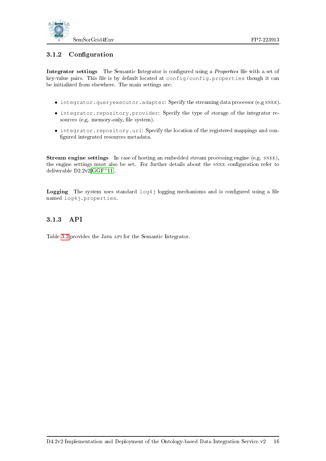

#### <span id="page-24-0"></span>3.1.2 Configuration

Integrator settings The Semantic Integrator is configured using a *Properties* file with a set of key-value pairs. This file is by default located at config/config.properties though it can be initialized from elsewhere. The main settings are:

- integrator.queryexecutor.adapter: Specify the streaming data processor (e.g snee).
- integrator.repository.provider: Specify the type of storage of the integrator resources (e.g. memory-only, file system).
- integrator.repository.url: Specify the location of the registered mappings and con figured integrated resources metadata.

Stream engine settings In case of hosting an embedded stream processing engine (e.g. SNEE), the engine settings must also be set. For further details about the SNEE configuration refer to deliverable D2.2v2[\[GGF](#page-39-13)+11].

**Logging** The system uses standard  $log4j$  logging mechanisms and is configured using a file named log4j.properties.

#### <span id="page-24-1"></span>3.1.3 API

Table [3.2](#page-25-0) provides the Java api for the Semantic Integrator.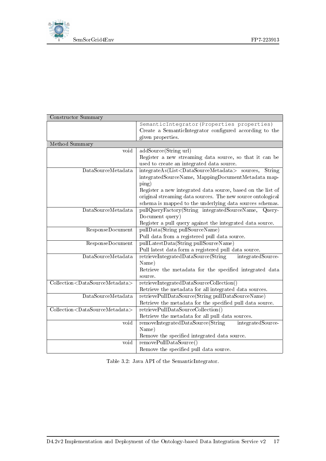

Constructor Summary

|                                                      | SemanticIntegrator (Properties properties)                                     |
|------------------------------------------------------|--------------------------------------------------------------------------------|
|                                                      | Create a SemanticIntegrator configured according to the                        |
|                                                      | given properties.                                                              |
| Method Summary                                       |                                                                                |
| void                                                 | addSource(String url)                                                          |
|                                                      | Register a new streaming data source, so that it can be                        |
|                                                      | used to create an integrated data source.                                      |
| DataSourceMetadata                                   | integrateAs(List <datasourcemetadata> sources,<br/>String</datasourcemetadata> |
|                                                      | integratedSourceName, MappingDocumentMetadata map-                             |
|                                                      | $\text{ping}$                                                                  |
|                                                      | Register a new integrated data source, based on the list of                    |
|                                                      | original streaming data sources. The new source ontological                    |
|                                                      | schema is mapped to the underlying data sources schemas.                       |
| DataSourceMetadata                                   | pullQueryFactory(String integratedSourceName, Query-                           |
|                                                      | Document query)                                                                |
|                                                      | Register a pull query against the integrated data source.                      |
| ResponseDocument                                     | pullData(String pullSourceName)                                                |
|                                                      | Pull data from a registered pull data source.                                  |
| ResponseDocument                                     | pullLatestData(String pullSourceName)                                          |
|                                                      | Pull latest data form a registered pull data source.                           |
| DataSourceMetadata                                   | retrieveIntegratedDataSource(String<br>integratedSource-                       |
|                                                      | Name)                                                                          |
|                                                      | Retrieve the metadata for the specified integrated data                        |
|                                                      | source.                                                                        |
| Collection <datasourcemetadata></datasourcemetadata> | retrieveIntegratedDataSourceCollection()                                       |
|                                                      | Retrieve the metadata for all integrated data sources.                         |
| DataSourceMetadata                                   | retrievePullDataSource(String pullDataSourceName)                              |
|                                                      | Retrieve the metadata for the specified pull data source.                      |
| Collection <datasourcemetadata></datasourcemetadata> | retrievePullDataSourceCollection()                                             |
|                                                      | Retrieve the metadata for all pull data sources.                               |
| void                                                 | removeIntegratedDataSource(String<br>integratedSource-                         |
|                                                      | Name)                                                                          |
|                                                      | Remove the specified integrated data source.                                   |
| void                                                 | removePullDataSource()                                                         |
|                                                      | Remove the specified pull data source.                                         |

<span id="page-25-0"></span>Table 3.2: Java API of the SemanticIntegrator.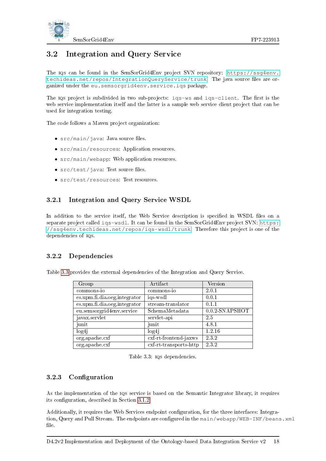

## <span id="page-26-0"></span>3.2 Integration and Query Service

The iqs can be found in the SemSorGrid4Env project SVN repository: [https://ssg4env.](https://ssg4env.techideas.net/repos/IntegrationQueryService/trunk) [techideas.net/repos/IntegrationQueryService/trunk](https://ssg4env.techideas.net/repos/IntegrationQueryService/trunk). The java source files are organized under the eu.semsorgrid4env.service.iqs package.

The  $IQS$  project is subdivided in two sub-projects:  $iqs-ws$  and  $iqs$ -client. The first is the web service implementation itself and the latter is a sample web service client project that can be used for integration testing.

The code follows a Maven project organization:

- $\bullet$  src/main/java: Java source files.
- src/main/resources: Application resources.
- src/main/webapp: Web application resources.
- $\bullet$  src/test/java: Test source files.
- src/test/resources: Test resources.

#### <span id="page-26-1"></span>3.2.1 Integration and Query Service WSDL

In addition to the service itself, the Web Service description is specified in WSDL files on a separate project called iqs-wsdl. It can be found in the SemSorGrid4Env project SVN: [https:](https://ssg4env.techideas.net/repos/iqs-wsdl/trunk) [//ssg4env.techideas.net/repos/iqs-wsdl/trunk](https://ssg4env.techideas.net/repos/iqs-wsdl/trunk). Therefore this project is one of the dependencies of iqs.

#### <span id="page-26-2"></span>3.2.2 Dependencies

Table [3.3](#page-26-4) provides the external dependencies of the Integration and Query Service.

| Group                        | Artifact                 | Version           |
|------------------------------|--------------------------|-------------------|
| commons-io                   | commons-io               | 2.0.1             |
| es.upm.fi.dia.oeg.integrator | iqs-wsdl                 | 0.0.1             |
| es.upm.fi.dia.oeg.integrator | stream-translator        | 0.1.1             |
| eu.semsorgrid4env.service    | SchemaMetadata           | $0.0.2$ -SNAPSHOT |
| javax.servlet                | servlet-api              | 2.5               |
| junit                        | junit                    | 4.8.1             |
| log4 <sub>j</sub>            | log4 <sub>i</sub>        | 1.2.16            |
| org.apache.cxf               | cxf-rt-frontend-jaxws    | 232               |
| org.apache.cxf               | $ext-rt-transports-http$ | 2.3.2             |

<span id="page-26-4"></span>Table 3.3: iqs dependencies.

#### <span id="page-26-3"></span>3.2.3 Configuration

As the implementation of the IQS service is based on the Semantic Integrator library, it requires its configuration, described in Section [3.1.2.](#page-24-0)

Additionally, it requires the Web Services endpoint conguration, for the three interfaces: Integration, Query and Pull Stream. The endpoints are configured in the main/webapp/WEB-INF/beans.xml file.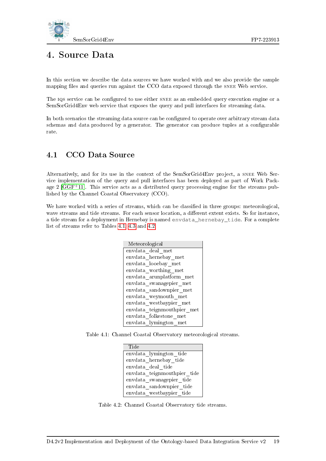

# <span id="page-27-0"></span>4. Source Data

In this section we describe the data sources we have worked with and we also provide the sample mapping files and queries run against the CCO data exposed through the SNEE Web service.

The IQS service can be configured to use either SNEE as an embedded query execution engine or a SemSorGrid4Env web service that exposes the query and pull interfaces for streaming data.

In both scenarios the streaming data source can be configured to operate over arbitrary stream data schemas and data produced by a generator. The generator can produce tuples at a configurable rate.

### <span id="page-27-1"></span>4.1 CCO Data Source

Alternatively, and for its use in the context of the SemSorGrid4Env project, a snee Web Service implementation of the query and pull interfaces has been deployed as part of Work Package 2  $[GGF<sup>+</sup>11]$  $[GGF<sup>+</sup>11]$ . This service acts as a distributed query processing engine for the streams published by the Channel Coastal Observatory (CCO).

We have worked with a series of streams, which can be classified in three groups: meteorological, wave streams and tide streams. For each sensor location, a different extent exists. So for instance, a tide stream for a deployment in Hernebay is named envdata\_hernebay\_tide. For a complete list of streams refer to Tables [4.1,](#page-27-2) [4.3](#page-28-0) and [4.2.](#page-27-3)

| Meteorological             |
|----------------------------|
| envdata deal met           |
| envdata hernebay met       |
| envdata looebay met        |
| envdata worthing met       |
| envdata arunplatform met   |
| envdata swanagepier met    |
| envdata sandownpier met    |
| envdata weymouth met       |
| envdata westbaypier met    |
| envdata teignmouthpier met |
| envdata folkestone met     |
| envdata lymington met      |

Table 4.1: Channel Coastal Observatory meteorological streams.

<span id="page-27-2"></span>

| Tide                        |
|-----------------------------|
| envdata lymington tide      |
| envdata hernebay tide       |
| envdata deal tide           |
| envdata teignmouthpier tide |
| envdata swanagepier tide    |
| envdata sandownpier tide    |
| envdata westbaypier tide    |

<span id="page-27-3"></span>Table 4.2: Channel Coastal Observatory tide streams.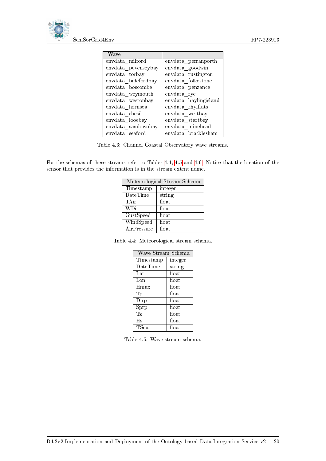

| Wave                |                       |
|---------------------|-----------------------|
| envdata milford     | envdata perranporth   |
| envdata pevenseybay | envdata goodwin       |
| envdata torbay      | envdata rustington    |
| envdata bidefordbay | envdata folkestone    |
| envdata boscombe    | envdata penzance      |
| envdata weymouth    | envdata rye           |
| envdata westonbay   | envdata haylingisland |
| envdata hornsea     | envdata rhylflats     |
| envdata chesil      | envdata westbay       |
| envdata looebay     | envdata startbay      |
| envdata sandownbay  | envdata minehead      |
| envdata seaford     | envdata bracklesham   |

<span id="page-28-0"></span>Table 4.3: Channel Coastal Observatory wave streams.

For the schemas of these streams refer to Tables [4.4,](#page-28-1) [4.5](#page-28-2) and [4.6.](#page-29-2) Notice that the location of the sensor that provides the information is in the stream extent name.

| Meteorological Stream Schema |         |  |
|------------------------------|---------|--|
| Timestamp                    | integer |  |
| DateTime                     | string  |  |
| TAir                         | float   |  |
| WDir                         | float   |  |
| GustSpeed                    | float   |  |
| WindSpeed                    | float   |  |
| AirPressure                  | float   |  |

Table 4.4: Meteorological stream schema.

<span id="page-28-1"></span>

| Wave Stream Schema        |         |  |
|---------------------------|---------|--|
| Timestamp                 | integer |  |
| DateTime                  | string  |  |
| Lat                       | float   |  |
| Lon                       | float   |  |
| $H_{\rm max}$             | float   |  |
| Tp                        | float   |  |
| Dirp                      | float   |  |
| $\overline{\text{S}}$ prp | float   |  |
| Тz                        | float   |  |
| Hs                        | float   |  |
| TSea                      | float   |  |

<span id="page-28-2"></span>Table 4.5: Wave stream schema.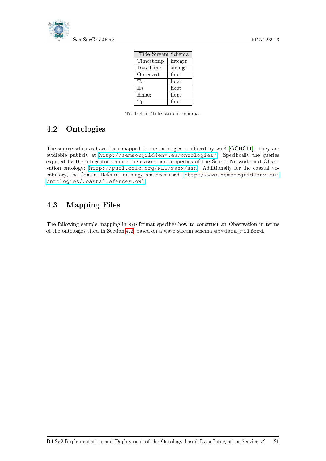

| Tide Stream Schema |                   |  |
|--------------------|-------------------|--|
| Timestamp          | integer           |  |
| DateTime           | string            |  |
| Observed           | float             |  |
| Тz                 | float             |  |
| Hs                 | float             |  |
| Hmax               | $_{\text{float}}$ |  |
| Tр                 | float             |  |

<span id="page-29-2"></span>Table 4.6: Tide stream schema.

## <span id="page-29-0"></span>4.2 Ontologies

The source schemas have been mapped to the ontologies produced by wp4 [\[GCHC11\]](#page-39-14). They are available publicly at <http://semsorgrid4env.eu/ontologies/>. Specifically the queries exposed by the integrator require the classes and properties of the Sensor Network and Observation ontology: <http://purl.oclc.org/NET/ssnx/ssn>. Additionally for the coastal vocabulary, the Coastal Defenses ontology has been used: [http://www.semsorgrid4env.eu/](http://www.semsorgrid4env.eu/ontologies/CoastalDefences.owl) [ontologies/CoastalDefences.owl](http://www.semsorgrid4env.eu/ontologies/CoastalDefences.owl).

## <span id="page-29-1"></span>4.3 Mapping Files

The following sample mapping in  $s_2$ O format specifies how to construct an Observation in terms of the ontologies cited in Section [4.2,](#page-29-0) based on a wave stream schema envdata\_milford.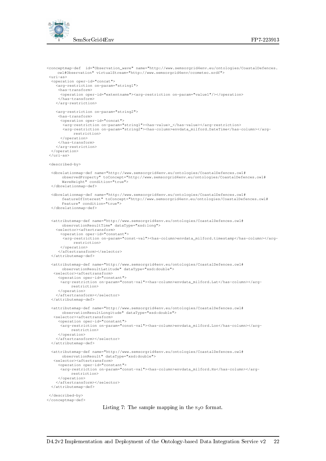



```
<conceptmap-def id="Observation_wave" name="http://www.semsorgrid4env.eu/ontologies/CoastalDefences.
    owl#Observation" virtualStream="http://www.semsorgrid4env/ccometeo.srdf">
 <uri-as>
  <operation oper-id="concat">
    <arg-restriction on-param="string1">
     <has-transform>
     <operation oper-id="extentname"><arg-restriction on-param="value1"/></operation>
     </has-transform>
   </arg-restriction>
   <arg-restriction on-param="string2">
     <has-transform>
      <operation oper-id="concat">
       <arg-restriction on-param="string1"><has-value>_</has-value></arg-restriction>
       <arg-restriction on-param="string2"><has-column>envdata_milford.DateTime</has-column></arg-
           restriction>
     </operation>
    </has-transform>
   </arg-restriction>
 </operation>
</uri-as>
<described-by>
 <dbrelationmap-def name="http://www.semsorgrid4env.eu/ontologies/CoastalDefences.owl#
      observedProperty" toConcept="http://www.semsorgrid4env.eu/ontologies/CoastalDefences.owl#
      WaveHeight" condition="true">
 </dbrelationmap-def>
 <dbrelationmap-def name="http://www.semsorgrid4env.eu/ontologies/CoastalDefences.owl#
       featureOfInterest" toConcept="http://www.semsorgrid4env.eu/ontologies/CoastalDefences.owl#
      Feature" condition="true">
 </dbrelationmap-def>
 <attributemap-def name="http://www.semsorgrid4env.eu/ontologies/CoastalDefences.owl#
      observationResultTime" dataType="xsd:long">
   <selector><aftertransform>
      <operation oper-id="constant">
       <arg-restriction on-param="const-val"><has-column>envdata_milford.timestamp</has-column></arg-
            restriction>
     </operation>
     </aftertransform></selector>
 </attributemap-def>
  <attributemap-def name="http://www.semsorgrid4env.eu/ontologies/CoastalDefences.owl#
observationResultLatitude" dataType="xsd:double">
   <selector><aftertransform>
     <operation oper-id="constant">
     <arg-restriction on-param="const-val"><has-column>envdata_milford.Lat</has-column></arg-
          restriction>
    </operation>
    </aftertransform></selector>
 </attributemap-def>
  <attributemap-def name="http://www.semsorgrid4env.eu/ontologies/CoastalDefences.owl#
observationResultLongitude" dataType="xsd:double">
   <selector><aftertransform>
     <operation oper-id="constant">
      .<br><arg-restriction on-param="const-val"><has-column>envdata_milford.Lon</has-column></arg-
          restriction>
    </operation>
   </aftertransform></selector>
 </attributemap-def>
 <attributemap-def name="http://www.semsorgrid4env.eu/ontologies/CoastalDefences.owl#
       observationResult" dataType="xsd:double">
   <selector><aftertransform>
     <operation oper-id="constant">
     <arg-restriction on-param="const-val"><has-column>envdata_milford.Hs</has-column></arg-
          restriction>
    </operation>
   </aftertransform></selector>
 </attributemap-def>
</described-by>
</conceptmap-def>
```
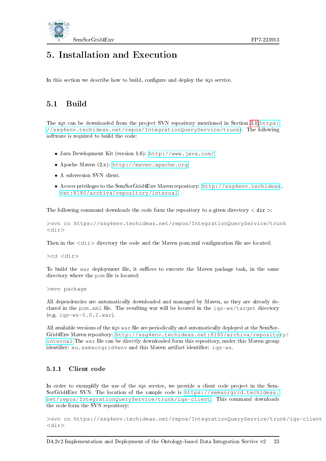

# <span id="page-31-0"></span>5. Installation and Execution

In this section we describe how to build, configure and deploy the IQS service.

### <span id="page-31-1"></span>5.1 Build

The IQS can be downloaded from the project SVN repository mentioned in Section [3.1\(](#page-23-1)[https:](https://ssg4env.techideas.net/repos/IntegrationQueryService/trunk) [//ssg4env.techideas.net/repos/IntegrationQueryService/trunk](https://ssg4env.techideas.net/repos/IntegrationQueryService/trunk)). The following software is required to build the code:

- Java Development Kit (version 1.6): <http://www.java.com/>.
- Apache Maven (2.x): <http://maven.apache.org>.
- A subversion SVN client.
- Access privileges to the SemSorGrid4Env Maven repository: [http://ssg4env.techideas](http://ssg4env.techideas.net:8180/archiva/repository/internal). [net:8180/archiva/repository/internal](http://ssg4env.techideas.net:8180/archiva/repository/internal).

The following command downloads the code form the repository to a given directory  $\langle$  dir  $\rangle$ :

>svn co https://ssg4env.techideas.net/repos/IntegrationQueryService/trunk <dir>

Then in the  $\langle \text{dir} \rangle$  directory the code and the Maven pom.xml configuration file are located:

>cd <dir>

To build the war deployment file, it suffices to execute the Maven package task, in the same directory where the pom file is located:

>mvn package

All dependencies are automatically downloaded and managed by Maven, as they are already declared in the pom. xml file. The resulting war will be located in the iqs-ws/target directory (e.g. iqs-ws-0.0.2.war).

All available versions of the IQS war file are periodically and automatically deployed at the SemSor-Grid4Env Maven repository: [http://ssg4env.techideas.net:8180/archiva/repositor](http://ssg4env.techideas.net:8180/archiva/repository/internal)y/ [internal](http://ssg4env.techideas.net:8180/archiva/repository/internal) The war file can be directly downloaded form this repository, under this Maven group identifier: eu.semsorgrid4env and this Maven artifact identifier: iqs-ws.

#### <span id="page-31-2"></span>5.1.1 Client code

In order to exemplify the use of the  $IQS$  service, we provide a client code project in the Sem-SorGrid4Env SVN. The location of the sample code is [https://semsorgrid.techideas.](https://semsorgrid.techideas.net/repos/IntegrationQueryService/trunk/iqs-client) [net/repos/IntegrationQueryService/trunk/iqs-client](https://semsorgrid.techideas.net/repos/IntegrationQueryService/trunk/iqs-client). This command downloads the code form the SVN repository:

>svn co https://ssg4env.techideas.net/repos/IntegrationQueryService/trunk/iqs-client  $<$ dir $>$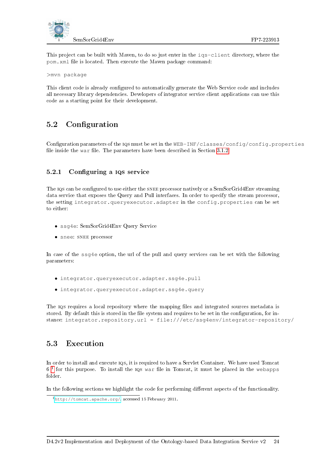

This project can be built with Maven, to do so just enter in the iqs-client directory, where the pom. xml file is located. Then execute the Maven package command:

>mvn package

This client code is already configured to automatically generate the Web Service code and includes all necessary library dependencies. Developers of integrator service client applications can use this code as a starting point for their development.

### <span id="page-32-0"></span>5.2 Configuration

Configuration parameters of the IQS must be set in the WEB-INF/classes/config/config.properties file inside the war file. The parameters have been described in Section [3.1.2.](#page-24-0)

#### <span id="page-32-1"></span>5.2.1 Configuring a IQS service

The IQS can be configured to use either the SNEE processor natively or a SemSorGrid4Env streaming data service that exposes the Query and Pull interfaces. In order to specify the stream processor, the setting integrator.queryexecutor.adapter in the config.properties can be set to either:

- ssg4e: SemSorGrid4Env Query Service
- snee: SNEE processor

In case of the ssg4e option, the url of the pull and query services can be set with the following parameters:

- integrator.queryexecutor.adapter.ssg4e.pull
- integrator.queryexecutor.adapter.ssg4e.query

The iqs requires a local repository where the mapping files and integrated sources metadata is stored. By default this is stored in the file system and requires to be set in the configuration, for instance: integrator.repository.url = file:///etc/ssg4env/integrator-repository/

### <span id="page-32-2"></span>5.3 Execution

In order to install and execute 10s, it is required to have a Servlet Container. We have used Tomcat  $6<sup>1</sup>$  $6<sup>1</sup>$  $6<sup>1</sup>$  for this purpose. To install the IQS war file in Tomcat, it must be placed in the webapps folder.

In the following sections we highlight the code for performing different aspects of the functionality.

<span id="page-32-3"></span><sup>1</sup><http://tomcat.apache.org/>, accessed 15 February 2011.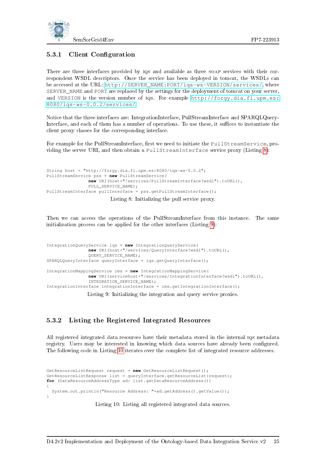

#### <span id="page-33-0"></span>5.3.1 Client Configuration

There are three interfaces provided by IQS and available as three SOAP services with their correspondent WSDL descriptors. Once the service has been deployed in tomcat, the WSDLs can be accessed at the URL: [http://SERVER\\_NAME:PORT/iqs-ws-VERSION/services/](http://SERVER_NAME:PORT/iqs-ws-VERSION/services/), where SERVER\_NAME and PORT are replaced by the settings for the deployment of tomcat on your server, and VERSION is the version number of iqs. For example [http://forgy.dia.fi.upm.es:](http://forgy.dia.fi.upm.es:8080/iqs-ws-0.0.2/services/) [8080/iqs-ws-0.0.2/services/](http://forgy.dia.fi.upm.es:8080/iqs-ws-0.0.2/services/).

Notice that the three interfaces are: IntegrationInterface, PullStreamInterface and SPARQLQuery-Interface, and each of them has a number of operations. To use these, it suffices to instantiate the client proxy classes for the corresponding interface.

For example for the PullStreamInterface, first we need to initiate the PullStreamService, providing the server URI, and then obtain a PullStreamInterface service proxy (Listing [8\)](#page-33-2):

```
String host = "http://forgy.dia.fi.upm.es:8080/iqs-ws-0.0.2";
PullStreamService pss = new PullStreamService(
                new URI(host+"/services/PullStreamInterface?wsdl").toURL(),
                PULL_SERVICE_NAME);
PullStreamInterface pullInterface = pss.getPullStreamInterface();
                         Listing 8: Initializing the pull service proxy.
```
Then we can access the operations of the PullStreamInterface from this instance. The same initialization process can be applied for the other interfaces (Listing [9\)](#page-33-3):

```
IntegrationQueryService iqs = new IntegrationQueryService(
               new URI(host+"/services/QueryInterface?wsdl").toURL(),
               QUERY_SERVICE_NAME);
SPARQLQueryInterface queryInterface = iqs.getQueryInterface();
IntegrationMappingService ims = new IntegrationMappingService(
               new URI(servicehost+"/services/IntegrationInterface?wsdl").toURL(),
               INTEGRATION SERVICE NAME);
IntegrationInterface integrationInterface = ims.getIntegrationInterface();
```
Listing 9: Initializing the integration and query service proxies.

#### <span id="page-33-1"></span>5.3.2 Listing the Registered Integrated Resources

All registered integrated data resources have their metadata stored in the internal iqs metadata registry. Users may be interested in knowing which data sources have already been configured. The following code in Listing [10](#page-33-4) iterates over the complete list of integrated resource addresses.

```
GetResourceListRequest request = new GetResourceListRequest();
GetResourceListResponse list = queryInterface.getResourceList(request);
for (DataResourceAddressType ad: list.getDataResourceAddress())
{
  System.out.println("Resource Address: "+ad.getAddress().getValue());
}
```
Listing 10: Listing all registered integrated data sources.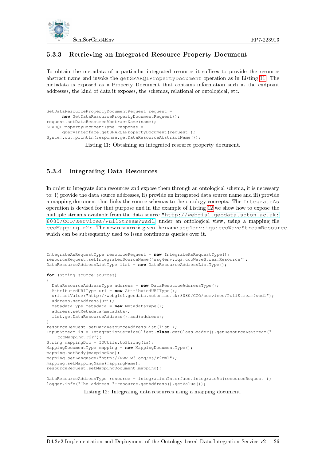

#### <span id="page-34-0"></span>5.3.3 Retrieving an Integrated Resource Property Document

To obtain the metadata of a particular integrated resource it suffices to provide the resource abstract name and invoke the getSPARQLPropertyDocument operation as in Listing [11.](#page-34-2) The metadata is exposed as a Property Document that contains information such as the endpoint addresses, the kind of data it exposes, the schemas, relational or ontological, etc.

```
GetDataResourcePropertyDocumentRequest request =
     new GetDataResourcePropertyDocumentRequest();
request.setDataResourceAbstractName(name);
SPARQLPropertyDocumentType response =
      queryInterface.getSPARQLPropertyDocument(request );
System.out.println(response.getDataResourceAbstractName());
```
Listing 11: Obtaining an integrated resource property document.

#### <span id="page-34-1"></span>5.3.4 Integrating Data Resources

In order to integrate data resources and expose them through an ontological schema, it is necessary to: i) provide the data source addresses, ii) provide an integrated data source name and iii) provide a mapping document that links the source schemas to the ontology concepts. The IntegrateAs operation is devised for that purpose and in the example of Listing [12](#page-34-3) we show how to expose the multiple streams available from the data source ["http://webgis1.geodata.soton.ac.uk:]("http://webgis1.geodata.soton.ac.uk:8080/CCO/services/PullStream?wsdl) [8080/CCO/services/PullStream?wsdl]("http://webgis1.geodata.soton.ac.uk:8080/CCO/services/PullStream?wsdl), under an ontological view, using a mapping file ccoMapping.r2r. The new resource is given the name ssg4env:iqs:ccoWaveStreamResource, which can be subsequently used to issue continuous queries over it.

```
IntegrateAsRequestType resourceRequest = new IntegrateAsRequestType();
resourceRequest.setIntegratedSourceName("ssg4env:iqs:ccoWaveStreamResource");
DataResourceAddressListType list = new DataResourceAddressListType();
for (String source:sources)
{
 DataResourceAddressType address = new DataResourceAddressType();
 AttributedURIType uri = new AttributedURIType();
 uri.setValue("http://webgis1.geodata.soton.ac.uk:8080/CCO/services/PullStream?wsdl");
  address.setAddress(uri);
 MetadataType metadata = new MetadataType();
  address.setMetadata(metadata);
  list.getDataResourceAddress().add(address);
}
resourceRequest.setDataResourceAddressList(list );
InputStream is = IntegrationServiceClient.class.getClassLoader().getResourceAsStream("
    ccoMapping.r2r");
String mappingDoc = IOUtils.toString(is);
MappingDocumentType mapping = new MappingDocumentType();
mapping.setBody(mappingDoc);
mapping.setLanguage("http://www.w3.org/ns/r2rml");
mapping.setMappingName(mappingName);
resourceRequest.setMappingDocument(mapping);
DataResourceAddressType resource = integrationInterface.integrateAs(resourceRequest );
```
logger.info("The address "+resource.getAddress().getValue());

Listing 12: Integrating data resources using a mapping document.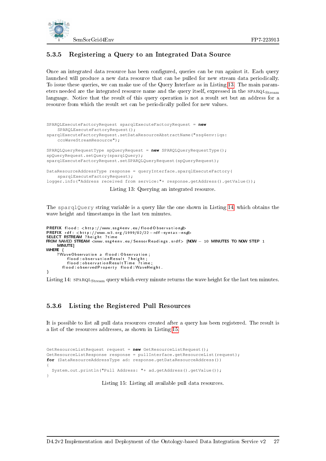

#### <span id="page-35-0"></span>5.3.5 Registering a Query to an Integrated Data Source

Once an integrated data resource has been configured, queries can be run against it. Each query launched will produce a new data resource that can be pulled for new stream data periodically. To issue these queries, we can make use of the Query Interface as in Listing [13.](#page-35-2) The main parameters needed are the integrated resource name and the query itself, expressed in the  $SPARQL<sub>Stream</sub>$ language. Notice that the result of this query operation is not a result set but an address for a resource from which the result set can be periodically polled for new values.

```
SPARQLExecuteFactoryRequest sparqlExecuteFactoryRequest = new
    SPARQLExecuteFactoryRequest();
sparqlExecuteFactoryRequest.setDataResourceAbstractName("ssg4env:iqs:
    ccoWaveStreamResource");
SPARQLQueryRequestType spQueryRequest = new SPARQLQueryRequestType();
spQueryRequest.setQuery(sparqlQuery);
sparqlExecuteFactoryRequest.setSPARQLQueryRequest(spQueryRequest);
DataResourceAddressType response = queryInterface.sparqlExecuteFactory(
    sparqlExecuteFactoryRequest);
logger.info("Address received from service:"+ response.getAddress().getValue());
```
Listing 13: Querying an integrated resource.

The sparqlQuery string variable is a query like the one shown in Listing [14,](#page-35-3) which obtains the wave height and timestamps in the last ten minutes.

```
\mathsf{PREFIX}\; flood : <http://www.ssg4env.eu/flood Observation\#PREFIX rdfː <http://www.w3.org/1999/02/22−rdf−syntax−ns#><br>SELECT RSTREAM ?height ?time
FROM NAMED STREAM <www.ssg4env.eu/SensorReadings.srdf> [NOW - 10 MINUTES TO NOW STEP 1
     MINUTE]
WHERE
     ? Wave Observation a flood : Observation ;
           flood : observationResult   ? height ;<br>flood : observationResult Time   ? time ;
        flood : observed Property flood : WaveHeight .
}
```
Listing 14: SPARQL<sub>Stream</sub> query which every minute returns the wave height for the last ten minutes.

#### <span id="page-35-1"></span>5.3.6 Listing the Registered Pull Resources

It is possible to list all pull data resources created after a query has been registered. The result is a list of the resources addresses, as shown in Listing [15.](#page-35-4)

```
GetResourceListRequest request = new GetResourceListRequest();
GetResourceListResponse response = pullInterface.getResourceList(request);
for (DataResourceAddressType ad: response.getDataResourceAddress())
{
  System.out.println("Pull Address: "+ ad.getAddress().getValue());
}
```
Listing 15: Listing all available pull data resources.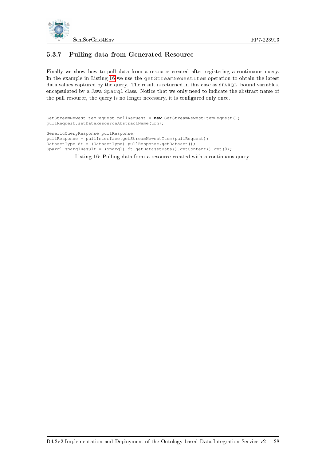

### <span id="page-36-0"></span>5.3.7 Pulling data from Generated Resource

Finally we show how to pull data from a resource created after registering a continuous query. In the example in Listing [16](#page-36-1) we use the getStreamNewestItem operation to obtain the latest data values captured by the query. The result is returned in this case as SPARQL bound variables, encapsulated by a Java Sparql class. Notice that we only need to indicate the abstract name of the pull resource, the query is no longer necessary, it is configured only once.

```
GetStreamNewestItemRequest pullRequest = new GetStreamNewestItemRequest();
pullRequest.setDataResourceAbstractName(urn);
GenericQueryResponse pullResponse;
pullResponse = pullInterface.getStreamNewestItem(pullRequest);
DatasetType dt = (DatasetType) pullResponse.getDataset();
Sparql sparqlResult = (Sparql) dt.getDatasetData().getContent().get(0);
```
Listing 16: Pulling data form a resource created with a continuous query.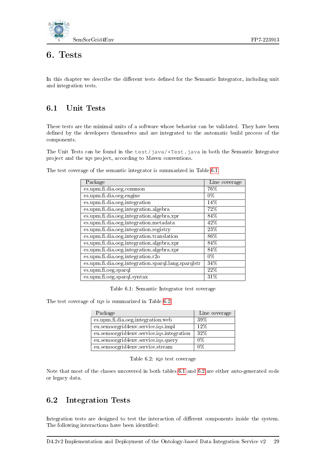

## <span id="page-37-0"></span>6. Tests

In this chapter we describe the different tests defined for the Semantic Integrator, including unit and integration tests.

### <span id="page-37-1"></span>6.1 Unit Tests

These tests are the minimal units of a software whose behavior can be validated. They have been defined by the developers themselves and are integrated to the automatic build process of the components.

The Unit Tests can be found in the test/java/ $\star$ Test.java in both the Semantic Integrator project and the iqs project, according to Maven conventions.

The test coverage of the semantic integrator is summarized in Table [6.1.](#page-37-3)

| Package                                             | Line coverage |
|-----------------------------------------------------|---------------|
| es.upm.fi.dia.oeg.common                            | 76%           |
| es.upm.fi.dia.oeg.engine                            | $0\%$         |
| es.upm.fi.dia.oeg.integration                       | 14%           |
| es.upm.fi.dia.oeg.integration.algebra               | 72%           |
| es.upm.fi.dia.oeg.integration.algebra.xpr           | 84%           |
| es.upm.fi.dia.oeg.integration.metadata              | 42%           |
| es.upm.fi.dia.oeg.integration.registry              | 23%           |
| es.upm.fi.dia.oeg.integration.translation           | $86\%$        |
| es.upm.fi.dia.oeg.integration.algebra.xpr           | 84%           |
| es.upm.fi.dia.oeg.integration.algebra.xpr           | 84%           |
| es.upm.fi.dia.oeg.integration.r2o                   | $0\%$         |
| es.upm.fi.dia.oeg.integration.sparql.lang.sparqlstr | 34%           |
| es.upm.fi.oeg.sparql                                | 22%           |
| es.upm.fi.oeg.sparql.syntax                         | $31\%$        |

<span id="page-37-3"></span>Table 6.1: Semantic Integrator test coverage

The test coverage of iqs is summarized in Table [6.2.](#page-37-4)

| Package                                   | Line coverage |
|-------------------------------------------|---------------|
| es.upm.fi.dia.oeg.integration.web         | 39\%          |
| eu.semsorgrid4env.service.iqs.impl        | 12%           |
| eu.semsorgrid4env.service.iqs.integration | $32\%$        |
| eu.semsorgrid4env.service.iqs.query       | 0%            |
| eu.semsorgrid4env.service.stream          | በ%            |

<span id="page-37-4"></span>Table 6.2: iqs test coverage

Note that most of the classes uncovered in both tables [6.1](#page-37-3) and [6.2](#page-37-4) are either auto-generated code or legacy data.

### <span id="page-37-2"></span>6.2 Integration Tests

Integration tests are designed to test the interaction of different components inside the system. The following interactions have been identified: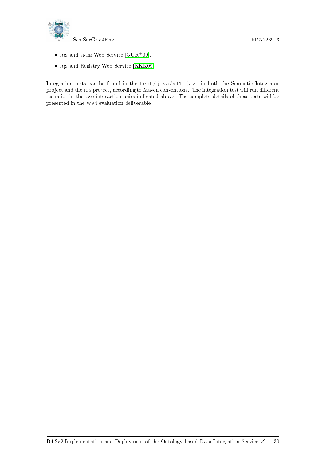



- IQS and SNEE Web Service  $[GGR^+09]$  $[GGR^+09]$ .
- iqs and Registry Web Service [\[KKK09\]](#page-40-0).

Integration tests can be found in the test/java/\*IT.java in both the Semantic Integrator project and the IQS project, according to Maven conventions. The integration test will run different scenarios in the two interaction pairs indicated above. The complete details of these tests will be presented in the wp4 evaluation deliverable.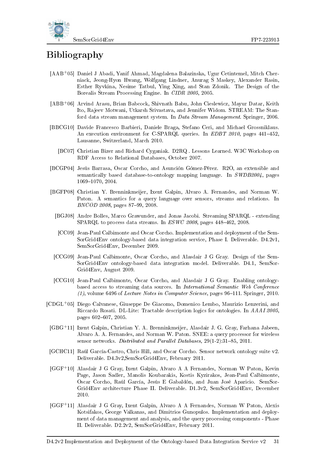



# Bibliography

- <span id="page-39-7"></span>[AAB+05] Daniel J Abadi, Yanif Ahmad, Magdalena Balazinska, Ugur Cetintemel, Mitch Cherniack, Jeong-Hyon Hwang, Wolfgang Lindner, Anurag S Maskey, Alexander Rasin, Esther Ryvkina, Nesime Tatbul, Ying Xing, and Stan Zdonik. The Design of the Borealis Stream Processing Engine. In CIDR 2005, 2005.
- <span id="page-39-6"></span>[ABB+06] Arvind Arasu, Brian Babcock, Shivnath Babu, John Cieslewicz, Mayur Datar, Keith Ito, Rajeev Motwani, Utkarsh Srivastava, and Jennifer Widom. STREAM: The Stanford data stream management system. In Data Stream Management. Springer, 2006.
- <span id="page-39-10"></span>[BBCG10] Davide Francesco Barbieri, Daniele Braga, Stefano Ceri, and Michael Grossniklaus. An execution environment for C-SPARQL queries. In EDBT 2010, pages  $441-452$ , Lausanne, Switzerland, March 2010.
	- [BC07] Christian Bizer and Richard Cyganiak. D2RQ . Lessons Learned. W3C Workshop on RDF Access to Relational Databases, October 2007.
- <span id="page-39-5"></span><span id="page-39-4"></span>[BCGP04] Jesús Barrasa, Oscar Corcho, and Asunción Gómez-Pérez. R2O, an extensible and semantically based database-to-ontology mapping language. In SWDB2004, pages 1069-1070, 2004.
- <span id="page-39-11"></span><span id="page-39-9"></span>[BGFP08] Christian Y. Brenninkmeijer, Ixent Galpin, Alvaro A. Fernandes, and Norman W. Paton. A semantics for a query language over sensors, streams and relations. In BNCOD 2008, pages 87-99, 2008.
	- [BGJ08] Andre Bolles, Marco Grawunder, and Jonas Jacobi. Streaming SPARQL extending SPARQL to process data streams. In  $ESWC$  2008, pages 448-462, 2008.
	- [CC09] Jean-Paul Calbimonte and Oscar Corcho. Implementation and deployment of the Sem-SorGrid4Env ontology-based data integration service, Phase I. Deliverable. D4.2v1, SemSorGrid4Env, December 2009.
- <span id="page-39-1"></span><span id="page-39-0"></span>[CCG09] Jean-Paul Calbimonte, Oscar Corcho, and Alasdair J G Gray. Design of the Sem-SorGrid4Env ontology-based data integration model. Deliverable. D4.1, SemSor-Grid4Env, August 2009.
- <span id="page-39-3"></span>[CCG10] Jean-Paul Calbimonte, Óscar Corcho, and Alasdair J G Gray. Enabling ontologybased access to streaming data sources. In International Semantic Web Conference  $(1)$ , volume 6496 of Lecture Notes in Computer Science, pages 96–111. Springer, 2010.
- <span id="page-39-12"></span>[CDGL<sup>+</sup>05] Diego Calvanese, Giuseppe De Giacomo, Domenico Lembo, Maurizio Lenzerini, and Riccardo Rosati. DL-Lite: Tractable description logics for ontologies. In AAAI 2005, pages 602-607, 2005.
- <span id="page-39-8"></span>[GBG<sup>+</sup>11] Ixent Galpin, Christian Y. A. Brenninkmeijer, Alasdair J. G. Gray, Farhana Jabeen, Alvaro A. A. Fernandes, and Norman W. Paton. SNEE: a query processor for wireless sensor networks. Distributed and Parallel Databases,  $29(1-2)$ : 31-85, 2011.
- <span id="page-39-14"></span>[GCHC11] Raúl García-Castro, Chris Hill, and Oscar Corcho. Sensor network ontology suite v2. Deliverable. D4.3v2,SemSorGrid4Env, February 2011.
- <span id="page-39-2"></span>[GGF<sup>+</sup>10] Alasdair J G Gray, Ixent Galpin, Alvaro A A Fernandes, Norman W Paton, Kevin Page, Jason Sadler, Manolis Koubarakis, Kostis Kyzirakos, Jean-Paul Calbimonte, Oscar Corcho, Raúl García, Jesús E Gabaldón, and Juan José Aparicio. SemSor-Grid4Env architecture Phase II. Deliverable. D1.3v2, SemSorGrid4Env, December 2010.
- <span id="page-39-13"></span>[GGF<sup>+</sup>11] Alasdair J G Gray, Ixent Galpin, Alvaro A A Fernandes, Norman W Paton, Alexis Kotsifakos, George Valkanas, and Dimitrios Gunopulos. Implementation and deployment of data management and analysis, and the query processing components - Phase II. Deliverable. D2.2v2, SemSorGrid4Env, February 2011.